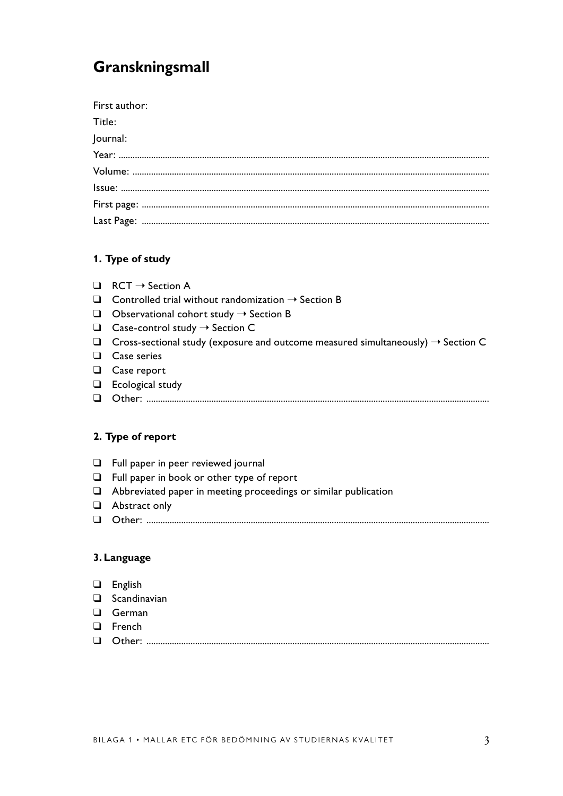# **Granskningsmall**

| First author: |
|---------------|
| Title:        |
| Journal:      |
|               |
|               |
|               |
|               |
|               |

### **1. Type of study**

- $\Box$  RCT  $\rightarrow$  Section A
- $\Box$  Controlled trial without randomization  $\rightarrow$  Section B
- $\Box$  Observational cohort study  $\rightarrow$  Section B
- $\Box$  Case-control study  $\rightarrow$  Section C
- $\Box$  Cross-sectional study (exposure and outcome measured simultaneously)  $\rightarrow$  Section C
- ❑ Case series
- ❑ Case report
- ❑ Ecological study
- ❑ Other: ....................................................................................................................................................

### **2. Type of report**

- ❑ Full paper in peer reviewed journal
- ❑ Full paper in book or other type of report
- ❑ Abbreviated paper in meeting proceedings or similar publication
- ❑ Abstract only
- ❑ Other: ....................................................................................................................................................

## **3. Language**

- ❑ English
- ❑ Scandinavian
- ❑ German
- ❑ French
- ❑ Other: ....................................................................................................................................................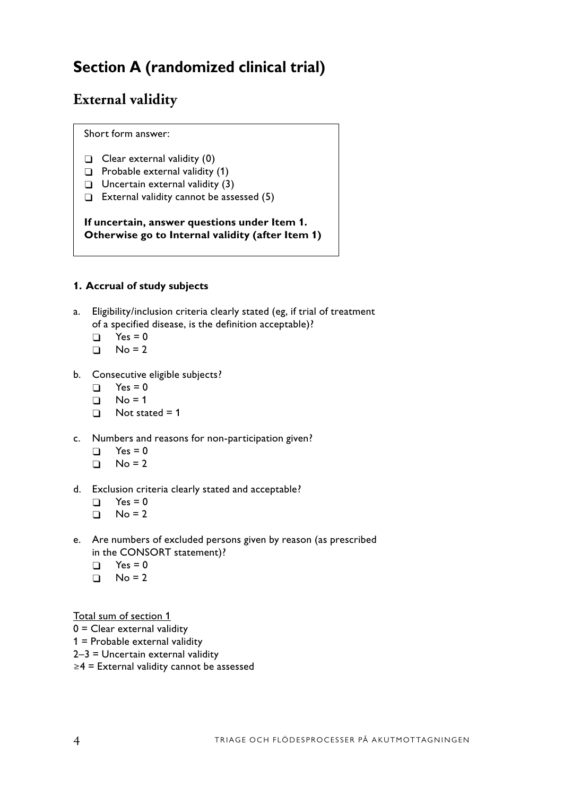# **Section A (randomized clinical trial)**

# **External validity**

Short form answer:

- $\Box$  Clear external validity (0)
- $\Box$  Probable external validity (1)
- $\Box$  Uncertain external validity (3)
- $\Box$  External validity cannot be assessed (5)

**If uncertain, answer questions under Item 1. Otherwise go to Internal validity (after Item 1)**

## **1. Accrual of study subjects**

- a. Eligibility/inclusion criteria clearly stated (eg, if trial of treatment of a specified disease, is the definition acceptable)?
	- $\Box$  Yes = 0
	- $\Box$  No = 2
- b. Consecutive eligible subjects?
	- $\Box$  Yes = 0
	- $\Box$  No = 1
	- $\Box$  Not stated = 1
- c. Numbers and reasons for non-participation given?
	- $\Box$  Yes = 0
	- $\Box$  No = 2
- d. Exclusion criteria clearly stated and acceptable?
	- $\Box$  Yes = 0
	- $\Box$  No = 2
- e. Are numbers of excluded persons given by reason (as prescribed in the CONSORT statement)?
	- $\Box$  Yes = 0
	- $\Box$  No = 2

Total sum of section 1

- 0 = Clear external validity
- 1 = Probable external validity
- 2–3 = Uncertain external validity
- ≥4 = External validity cannot be assessed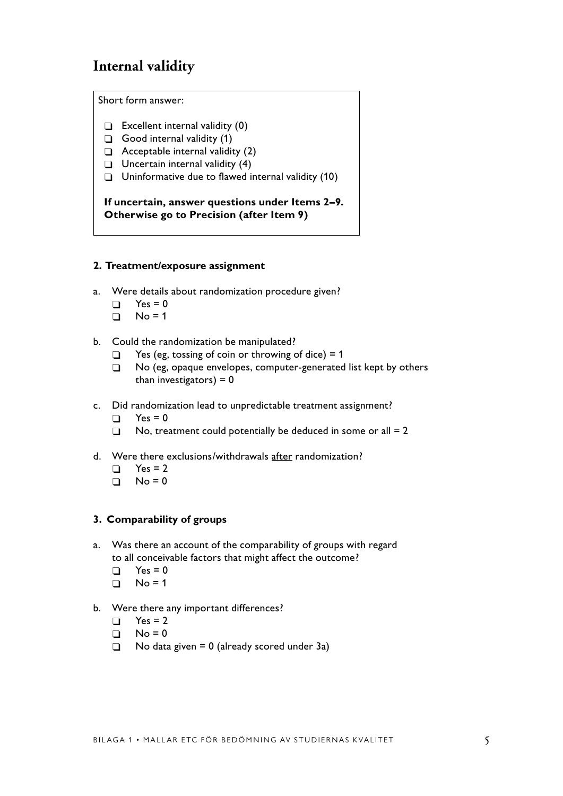# **Internal validity**

Short form answer:

- $\Box$  Excellent internal validity (0)
- $\Box$  Good internal validity (1)
- $\Box$  Acceptable internal validity (2)
- $\Box$  Uncertain internal validity (4)
- $\Box$  Uninformative due to flawed internal validity (10)

**If uncertain, answer questions under Items 2–9. Otherwise go to Precision (after Item 9)**

#### **2. Treatment/exposure assignment**

- a. Were details about randomization procedure given?
	- $\Box$  Yes = 0
	- $\Box$  No = 1
- b. Could the randomization be manipulated?
	- $\Box$  Yes (eg, tossing of coin or throwing of dice) = 1
	- □ No (eg, opaque envelopes, computer-generated list kept by others than investigators)  $= 0$
- c. Did randomization lead to unpredictable treatment assignment?
	- $\Box$  Yes = 0
	- $\Box$  No, treatment could potentially be deduced in some or all = 2
- d. Were there exclusions/withdrawals after randomization?
	- $\Box$  Yes = 2
	- $\Box$  No = 0

### **3. Comparability of groups**

- a. Was there an account of the comparability of groups with regard to all conceivable factors that might affect the outcome?
	- $\Box$  Yes = 0
	- $\Box$  No = 1
- b. Were there any important differences?
	- $\Box$  Yes = 2
	- $\Box$  No = 0
	- $\Box$  No data given = 0 (already scored under 3a)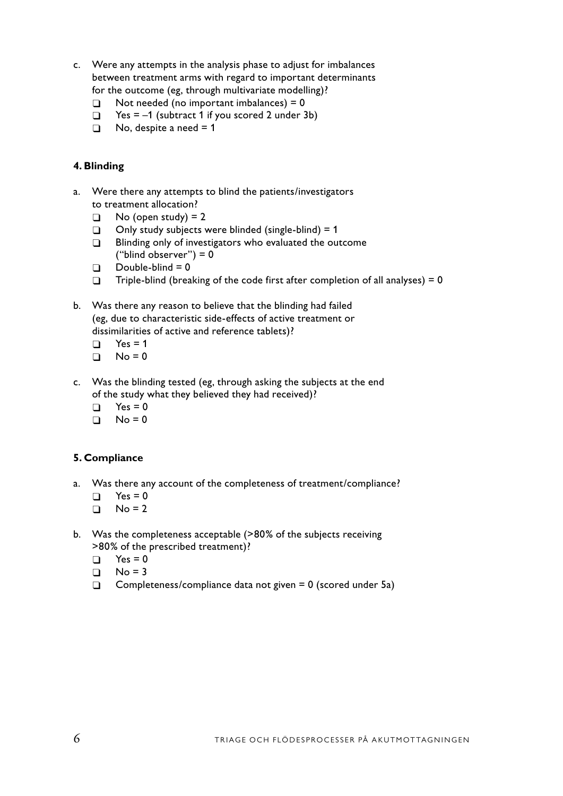- c. Were any attempts in the analysis phase to adjust for imbalances between treatment arms with regard to important determinants for the outcome (eg, through multivariate modelling)?
	- $\Box$  Not needed (no important imbalances) = 0
	- $\Box$  Yes = –1 (subtract 1 if you scored 2 under 3b)
	- $\Box$  No, despite a need = 1

### **4. Blinding**

- a. Were there any attempts to blind the patients/investigators to treatment allocation?
	- $\Box$  No (open study) = 2
	- $\Box$  Only study subjects were blinded (single-blind) = 1
	- **Blinding only of investigators who evaluated the outcome** ("blind observer") =  $0$
	- $\Box$  Double-blind = 0
	- $\Box$  Triple-blind (breaking of the code first after completion of all analyses) = 0
- b. Was there any reason to believe that the blinding had failed (eg, due to characteristic side-effects of active treatment or dissimilarities of active and reference tablets)?
	- $\Gamma$  Yes = 1
	- $\Box$  No = 0
- c. Was the blinding tested (eg, through asking the subjects at the end of the study what they believed they had received)?
	- $\Box$  Yes = 0
	- $\Box$  No = 0

#### **5. Compliance**

- a. Was there any account of the completeness of treatment/compliance?
	- $\Box$  Yes = 0
	- $\Box$  No = 2
- b. Was the completeness acceptable (>80% of the subjects receiving >80% of the prescribed treatment)?
	- $\Box$  Yes = 0
	- $\Box$  No = 3
	- $\Box$  Completeness/compliance data not given = 0 (scored under 5a)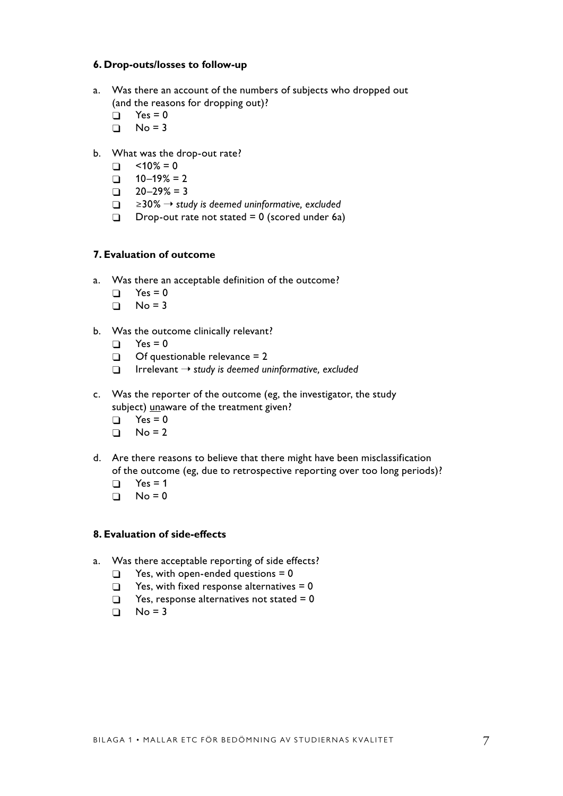#### **6. Drop-outs/losses to follow-up**

- a. Was there an account of the numbers of subjects who dropped out (and the reasons for dropping out)?
	- $\Box$  Yes = 0
	- $\Box$  No = 3
- b. What was the drop-out rate?
	- $\Box$  <10% = 0
	- $\Box$  10–19% = 2
	- $\Box$  20–29% = 3
	- � ≥30% ➝ *study is deemed uninformative, excluded*
	- Drop-out rate not stated  $= 0$  (scored under 6a)

### **7. Evaluation of outcome**

- a. Was there an acceptable definition of the outcome?
	- $\Box$  Yes = 0
	- $\Box$  No = 3
- b. Was the outcome clinically relevant?
	- $\Box$  Yes = 0
	- $\Box$  Of questionable relevance = 2
	- � Irrelevant ➝ *study is deemed uninformative, excluded*
- c. Was the reporter of the outcome (eg, the investigator, the study subject) unaware of the treatment given?
	- $\Box$  Yes = 0
	- $\Box$  No = 2
- d. Are there reasons to believe that there might have been misclassification of the outcome (eg, due to retrospective reporting over too long periods)?
	- $\Box$  Yes = 1
	- $\Box$  No = 0

### **8. Evaluation of side-effects**

- a. Was there acceptable reporting of side effects?
	- $\Box$  Yes, with open-ended questions = 0
	- $\Box$  Yes, with fixed response alternatives = 0
	- $\Box$  Yes, response alternatives not stated = 0
	- $\Box$  No = 3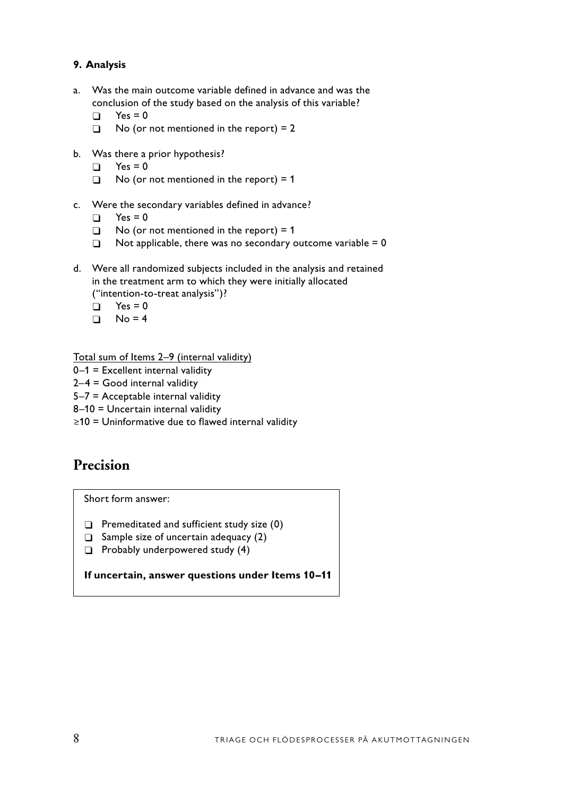## **9. Analysis**

- a. Was the main outcome variable defined in advance and was the conclusion of the study based on the analysis of this variable?
	- $\Box$  Yes = 0
	- $\Box$  No (or not mentioned in the report) = 2
- b. Was there a prior hypothesis?
	- $\Box$  Yes = 0
	- $\Box$  No (or not mentioned in the report) = 1
- c. Were the secondary variables defined in advance?
	- $\Box$  Yes = 0
	- $\Box$  No (or not mentioned in the report) = 1
	- $\Box$  Not applicable, there was no secondary outcome variable = 0
- d. Were all randomized subjects included in the analysis and retained in the treatment arm to which they were initially allocated ("intention-to-treat analysis")?
	- $\Box$  Yes = 0
	- $\Box$  No = 4

Total sum of Items 2–9 (internal validity)

- 0–1 = Excellent internal validity
- $2-4$  = Good internal validity
- 5–7 = Acceptable internal validity
- 8–10 = Uncertain internal validity
- ≥10 = Uninformative due to flawed internal validity

# **Precision**

Short form answer:

- $\Box$  Premeditated and sufficient study size (0)
- $\Box$  Sample size of uncertain adequacy (2)
- $\Box$  Probably underpowered study (4)

**If uncertain, answer questions under Items 10–11**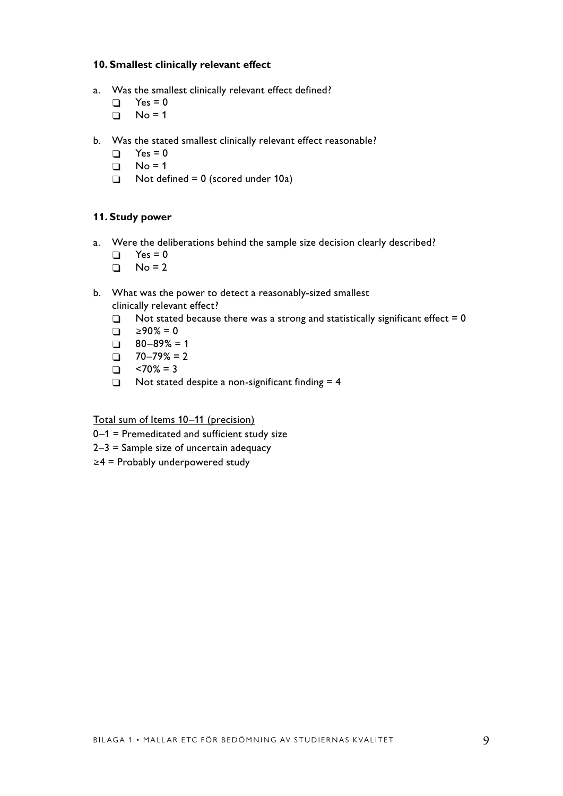#### **10. Smallest clinically relevant effect**

- a. Was the smallest clinically relevant effect defined?
	- $\Box$  Yes = 0
	- $\Box$  No = 1
- b. Was the stated smallest clinically relevant effect reasonable?
	- $\Box$  Yes = 0
	- $\Box$  No = 1
	- $\Box$  Not defined = 0 (scored under 10a)

#### **11. Study power**

- a. Were the deliberations behind the sample size decision clearly described?
	- $\Box$  Yes = 0
	- $\Box$  No = 2
- b. What was the power to detect a reasonably-sized smallest clinically relevant effect?
	- $\Box$  Not stated because there was a strong and statistically significant effect = 0
	- $\Box$  ≥90% = 0
	- $\Box$  80–89% = 1
	- $\Box$  70–79% = 2
	- $\Box$  <70% = 3
	- $\Box$  Not stated despite a non-significant finding = 4

Total sum of Items 10–11 (precision)

- 0–1 = Premeditated and sufficient study size
- 2–3 = Sample size of uncertain adequacy
- ≥4 = Probably underpowered study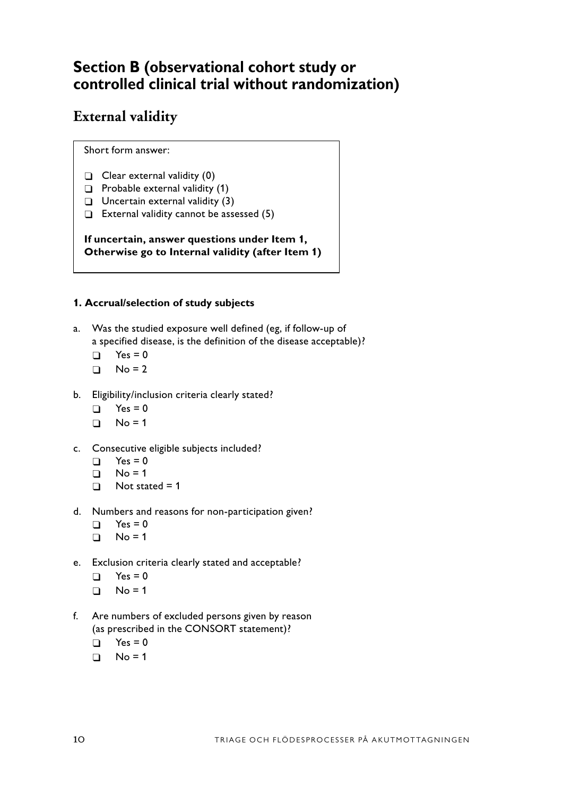# **Section B (observational cohort study or controlled clinical trial without randomization)**

# **External validity**

Short form answer:

- $\Box$  Clear external validity (0)
- $\Box$  Probable external validity (1)
- $\Box$  Uncertain external validity (3)
- $\Box$  External validity cannot be assessed (5)

**If uncertain, answer questions under Item 1, Otherwise go to Internal validity (after Item 1)**

## **1. Accrual/selection of study subjects**

- a. Was the studied exposure well defined (eg, if follow-up of a specified disease, is the definition of the disease acceptable)?
	- $\Box$  Yes = 0
	- $\Box$  No = 2
- b. Eligibility/inclusion criteria clearly stated?
	- $\Box$  Yes = 0
	- $\Box$  No = 1
- c. Consecutive eligible subjects included?
	- $\Box$  Yes = 0
	- $\Box$  No = 1
	- $\Box$  Not stated = 1
- d. Numbers and reasons for non-participation given?
	- $\Box$  Yes = 0
	- $\Box$  No = 1
- e. Exclusion criteria clearly stated and acceptable?
	- $\Box$  Yes = 0
	- $\Box$  No = 1
- f. Are numbers of excluded persons given by reason (as prescribed in the CONSORT statement)?
	- $\Box$  Yes = 0
	- $\Box$  No = 1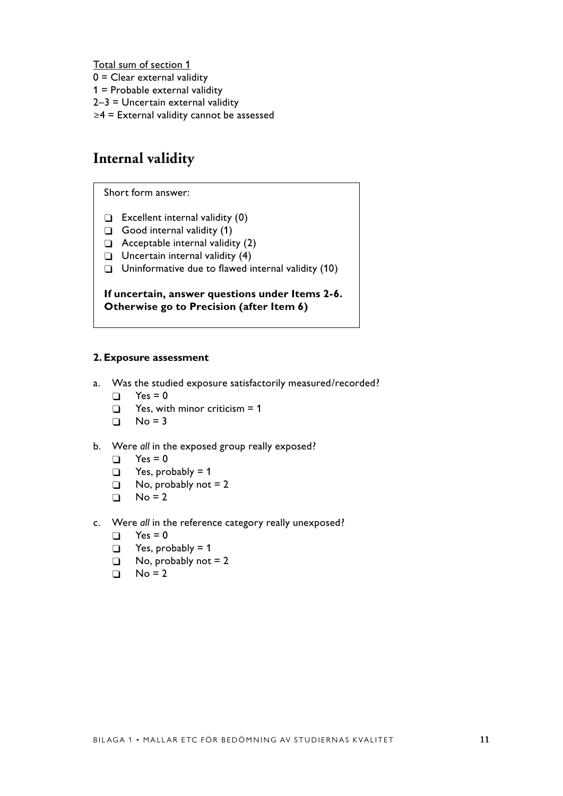Total sum of section 1

- $0 =$  Clear external validity
- 1 = Probable external validity
- 2–3 = Uncertain external validity
- ≥4 = External validity cannot be assessed

# **Internal validity**

Short form answer:

- $\Box$  Excellent internal validity (0)
- $\Box$  Good internal validity (1)
- $\Box$  Acceptable internal validity (2)
- $\Box$  Uncertain internal validity (4)
- $\Box$  Uninformative due to flawed internal validity (10)

**If uncertain, answer questions under Items 2-6. Otherwise go to Precision (after Item 6)**

#### **2. Exposure assessment**

- a. Was the studied exposure satisfactorily measured/recorded?
	- $\Box$  Yes = 0
	- $\Box$  Yes, with minor criticism = 1
	- $\Box$  No = 3
- b. Were *all* in the exposed group really exposed?
	- $\Box$  Yes = 0
	- $\Box$  Yes, probably = 1
	- $\Box$  No, probably not = 2
	- $\Box$  No = 2
- c. Were *all* in the reference category really unexposed?
	- $\Box$  Yes = 0
	- $\Box$  Yes, probably = 1
	- $\Box$  No, probably not = 2
	- $\Box$  No = 2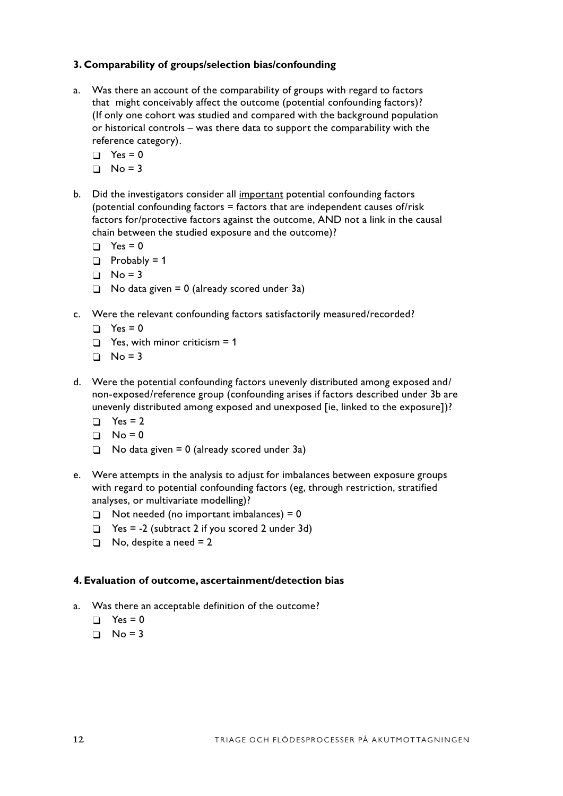### **3. Comparability of groups/selection bias/confounding**

- a. Was there an account of the comparability of groups with regard to factors that might conceivably affect the outcome (potential confounding factors)? (If only one cohort was studied and compared with the background population or historical controls – was there data to support the comparability with the reference category).
	- $\Box$  Yes = 0
	- $\Box$  No = 3
- b. Did the investigators consider all important potential confounding factors (potential confounding factors = factors that are independent causes of/risk factors for/protective factors against the outcome, AND not a link in the causal chain between the studied exposure and the outcome)?
	- $\Box$  Yes = 0
	- $\Box$  Probably = 1
	- $\Box$  No = 3
	- $\Box$  No data given = 0 (already scored under 3a)
- c. Were the relevant confounding factors satisfactorily measured/recorded?
	- $\Box$  Yes = 0
	- $\Box$  Yes, with minor criticism = 1
	- $\Box$  No = 3
- d. Were the potential confounding factors unevenly distributed among exposed and/ non-exposed/reference group (confounding arises if factors described under 3b are unevenly distributed among exposed and unexposed [ie, linked to the exposure])?
	- $\Box$  Yes = 2
	- $\Box$  No = 0
	- $\Box$  No data given = 0 (already scored under 3a)
- e. Were attempts in the analysis to adjust for imbalances between exposure groups with regard to potential confounding factors (eg, through restriction, stratified analyses, or multivariate modelling)?
	- $\Box$  Not needed (no important imbalances) = 0
	- $\Box$  Yes = -2 (subtract 2 if you scored 2 under 3d)
	- $\Box$  No, despite a need = 2

#### **4. Evaluation of outcome, ascertainment/detection bias**

- a. Was there an acceptable definition of the outcome?
	- $\Box$  Yes = 0
	- $\Box$  No = 3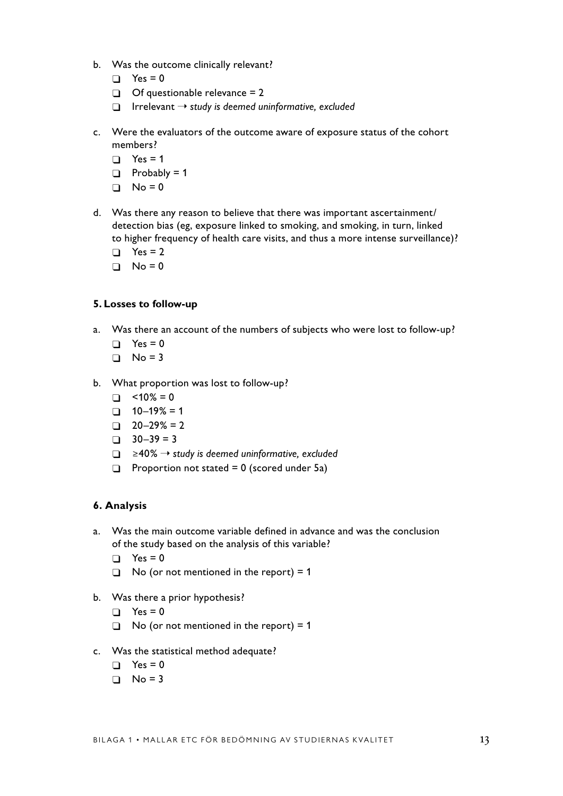- b. Was the outcome clinically relevant?
	- $\Box$  Yes = 0
	- $\Box$  Of questionable relevance = 2
	- � Irrelevant ➝ *study is deemed uninformative, excluded*
- c. Were the evaluators of the outcome aware of exposure status of the cohort members?
	- $\Box$  Yes = 1
	- $\Box$  Probably = 1
	- $\Box$  No = 0
- d. Was there any reason to believe that there was important ascertainment/ detection bias (eg, exposure linked to smoking, and smoking, in turn, linked to higher frequency of health care visits, and thus a more intense surveillance)?
	- $\Box$  Yes = 2
	- $\Box$  No = 0

#### **5. Losses to follow-up**

- a. Was there an account of the numbers of subjects who were lost to follow-up?
	- $\Box$  Yes = 0
	- $\Box$  No = 3
- b. What proportion was lost to follow-up?
	- $\Box$  <10% = 0
	- $\Box$  10–19% = 1
	- $\Box$  20–29% = 2
	- $\Box$  30–39 = 3
	- � ≥40% ➝ *study is deemed uninformative, excluded*
	- $\Box$  Proportion not stated = 0 (scored under 5a)

### **6. Analysis**

- a. Was the main outcome variable defined in advance and was the conclusion of the study based on the analysis of this variable?
	- $\Box$  Yes = 0
	- $\Box$  No (or not mentioned in the report) = 1
- b. Was there a prior hypothesis?
	- $\Box$  Yes = 0
	- $\Box$  No (or not mentioned in the report) = 1
- c. Was the statistical method adequate?
	- $\Box$  Yes = 0
	- $\Box$  No = 3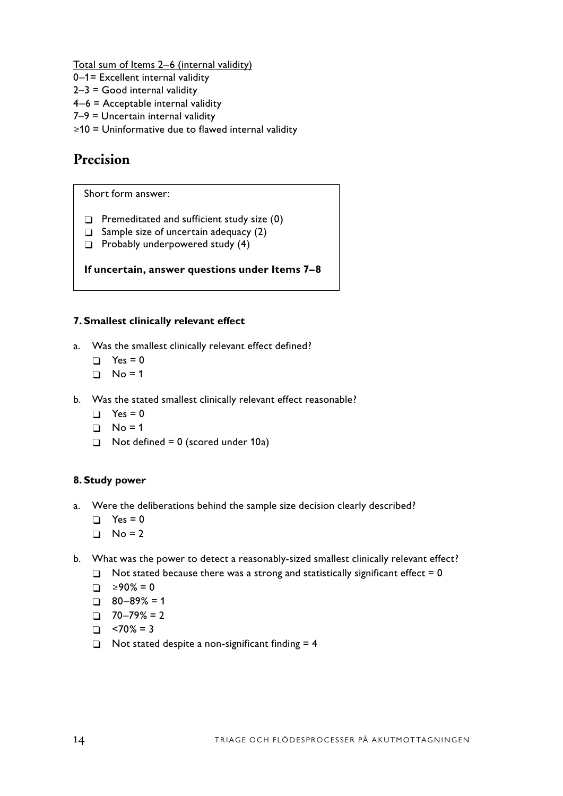Total sum of Items 2–6 (internal validity)

- 0–1= Excellent internal validity
- $2-3$  = Good internal validity
- 4–6 = Acceptable internal validity
- 7–9 = Uncertain internal validity
- ≥10 = Uninformative due to flawed internal validity

# **Precision**

Short form answer:

- $\Box$  Premeditated and sufficient study size (0)
- $\Box$  Sample size of uncertain adequacy (2)
- $\Box$  Probably underpowered study (4)

## **If uncertain, answer questions under Items 7–8**

# **7. Smallest clinically relevant effect**

- a. Was the smallest clinically relevant effect defined?
	- $\Box$  Yes = 0
	- $\Box$  No = 1
- b. Was the stated smallest clinically relevant effect reasonable?
	- $\Box$  Yes = 0
	- $\Box$  No = 1
	- $\Box$  Not defined = 0 (scored under 10a)

## **8. Study power**

- a. Were the deliberations behind the sample size decision clearly described?
	- $\Box$  Yes = 0
	- $\Box$  No = 2
- b. What was the power to detect a reasonably-sized smallest clinically relevant effect?
	- $\Box$  Not stated because there was a strong and statistically significant effect = 0
	- $\Box$  ≥90% = 0
	- $\Box$  80–89% = 1
	- $\Box$  70–79% = 2
	- $\Box$  <70% = 3
	- $\Box$  Not stated despite a non-significant finding = 4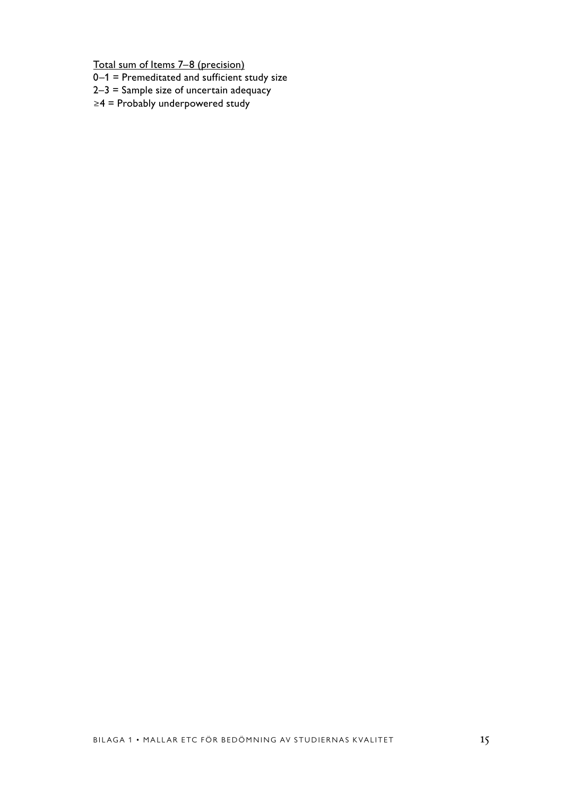Total sum of Items 7–8 (precision)

- 0–1 = Premeditated and sufficient study size
- $2-3$  = Sample size of uncertain adequacy
- ≥4 = Probably underpowered study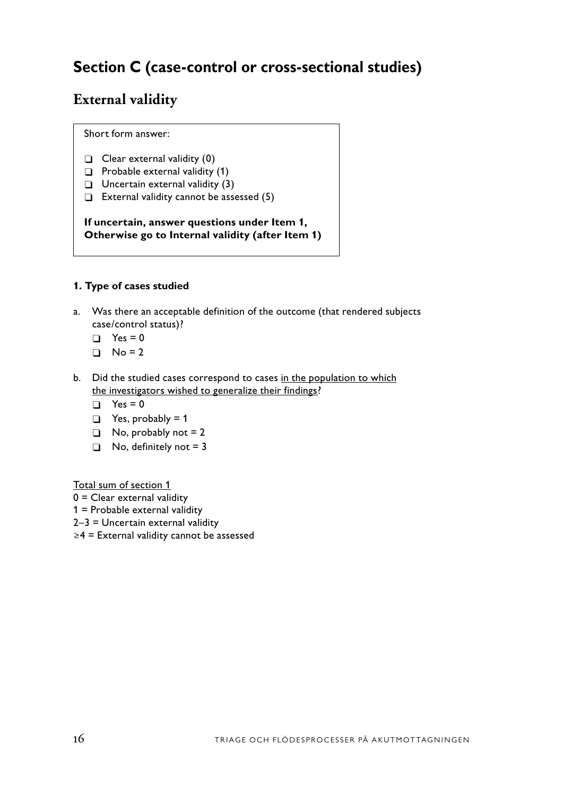# **Section C (case-control or cross-sectional studies)**

# **External validity**

Short form answer:

- $\Box$  Clear external validity (0)
- $\Box$  Probable external validity (1)
- $\Box$  Uncertain external validity (3)
- $\Box$  External validity cannot be assessed (5)

**If uncertain, answer questions under Item 1, Otherwise go to Internal validity (after Item 1)**

## **1. Type of cases studied**

- a. Was there an acceptable definition of the outcome (that rendered subjects case/control status)?
	- $\Box$  Yes = 0
	- $\Box$  No = 2
- b. Did the studied cases correspond to cases in the population to which the investigators wished to generalize their findings?
	- $\Box$  Yes = 0
	- $\Box$  Yes, probably = 1
	- $\Box$  No, probably not = 2
	- $\Box$  No, definitely not = 3

Total sum of section 1

- 0 = Clear external validity
- 1 = Probable external validity
- 2–3 = Uncertain external validity
- ≥4 = External validity cannot be assessed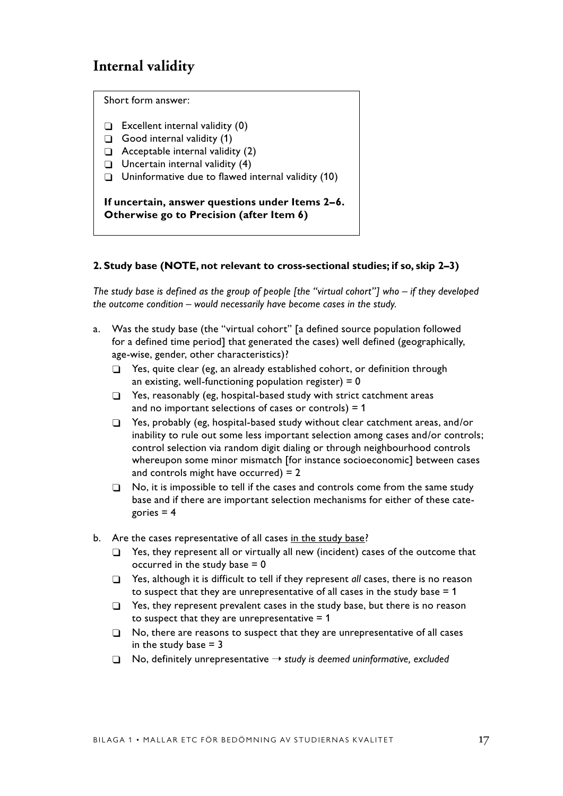# **Internal validity**

Short form answer:

- $\Box$  Excellent internal validity (0)
- $\Box$  Good internal validity (1)
- $\Box$  Acceptable internal validity (2)
- $\Box$  Uncertain internal validity (4)
- $\Box$  Uninformative due to flawed internal validity (10)

**If uncertain, answer questions under Items 2–6. Otherwise go to Precision (after Item 6)**

#### **2. Study base (NOTE, not relevant to cross-sectional studies; if so, skip 2–3)**

*The study base is defined as the group of people [the "virtual cohort"] who – if they developed the outcome condition – would necessarily have become cases in the study.*

- a. Was the study base (the "virtual cohort" [a defined source population followed for a defined time period] that generated the cases) well defined (geographically, age-wise, gender, other characteristics)?
	- $\Box$  Yes, quite clear (eg, an already established cohort, or definition through an existing, well-functioning population register) =  $0$
	- $\Box$  Yes, reasonably (eg, hospital-based study with strict catchment areas and no important selections of cases or controls)  $= 1$
	- □ Yes, probably (eg, hospital-based study without clear catchment areas, and/or inability to rule out some less important selection among cases and/or controls; control selection via random digit dialing or through neighbourhood controls whereupon some minor mismatch [for instance socioeconomic] between cases and controls might have occurred) = 2
	- $\Box$  No, it is impossible to tell if the cases and controls come from the same study base and if there are important selection mechanisms for either of these categories  $= 4$
- b. Are the cases representative of all cases in the study base?
	- $\Box$  Yes, they represent all or virtually all new (incident) cases of the outcome that occurred in the study base  $= 0$
	- □ Yes, although it is difficult to tell if they represent *all* cases, there is no reason to suspect that they are unrepresentative of all cases in the study base  $= 1$
	- $\Box$  Yes, they represent prevalent cases in the study base, but there is no reason to suspect that they are unrepresentative  $= 1$
	- $\Box$  No, there are reasons to suspect that they are unrepresentative of all cases in the study base  $= 3$
	- � No, definitely unrepresentative ➝ *study is deemed uninformative, excluded*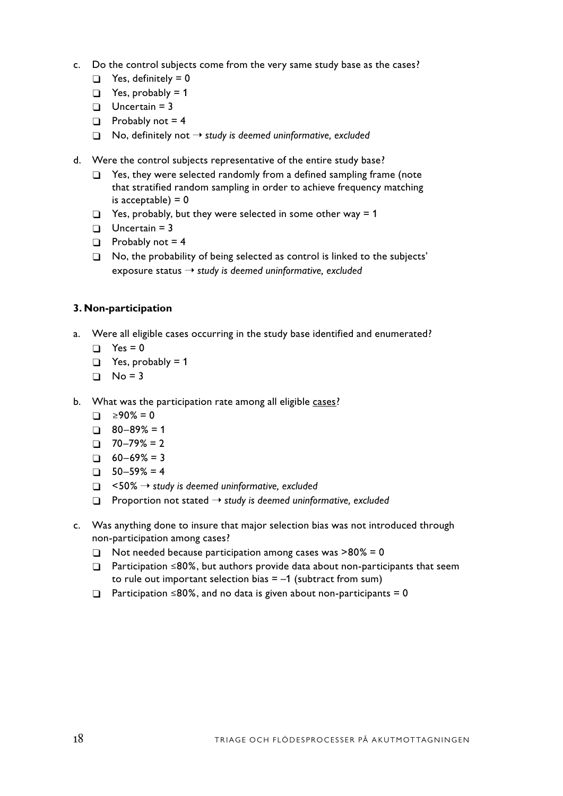- c. Do the control subjects come from the very same study base as the cases?
	- $\Box$  Yes, definitely = 0
	- $\Box$  Yes, probably = 1
	- $\Box$  Uncertain = 3
	- $\Box$  Probably not = 4
	- $\Box$  No, definitely not  $\rightarrow$  *study is deemed uninformative, excluded*
- d. Were the control subjects representative of the entire study base?
	- $\Box$  Yes, they were selected randomly from a defined sampling frame (note that stratified random sampling in order to achieve frequency matching is acceptable)  $= 0$
	- $\Box$  Yes, probably, but they were selected in some other way = 1
	- $\Box$  Uncertain = 3
	- $\Box$  Probably not = 4
	- $\Box$  No, the probability of being selected as control is linked to the subjects' exposure status ➝ *study is deemed uninformative, excluded*

## **3. Non-participation**

- a. Were all eligible cases occurring in the study base identified and enumerated?
	- $\Box$  Yes = 0
	- $\Box$  Yes, probably = 1
	- $\Box$  No = 3
- b. What was the participation rate among all eligible cases?
	- $\Box$  ≥90% = 0
	- $\Box$  80–89% = 1
	- $\Box$  70–79% = 2
	- $\Box$  60–69% = 3
	- $\Box$  50–59% = 4
	- � <50% ➝ *study is deemed uninformative, excluded*
	- � Proportion not stated ➝ *study is deemed uninformative, excluded*
- c. Was anything done to insure that major selection bias was not introduced through non-participation among cases?
	- $\Box$  Not needed because participation among cases was >80% = 0
	- � Participation ≤80%, but authors provide data about non-participants that seem to rule out important selection bias  $= -1$  (subtract from sum)
	- $\Box$  Participation ≤80%, and no data is given about non-participants = 0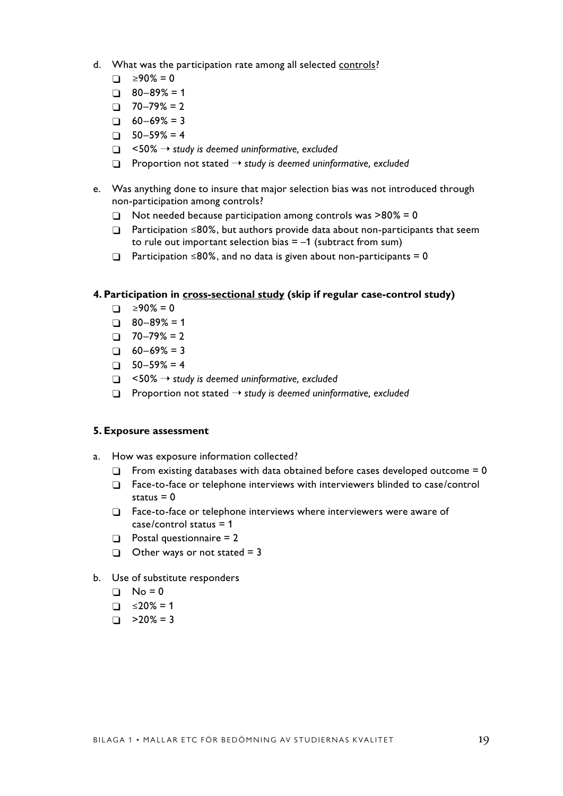- d. What was the participation rate among all selected controls?
	- $\Box$  ≥90% = 0
	- $\Box$  80–89% = 1
	- $\Box$  70–79% = 2
	- $\Box$  60–69% = 3
	- $\Box$  50–59% = 4
	- � <50% ➝ *study is deemed uninformative, excluded*
	- � Proportion not stated ➝ *study is deemed uninformative, excluded*
- e. Was anything done to insure that major selection bias was not introduced through non-participation among controls?
	- $\Box$  Not needed because participation among controls was >80% = 0
	- � Participation ≤80%, but authors provide data about non-participants that seem to rule out important selection bias  $= -1$  (subtract from sum)
	- $\Box$  Participation ≤80%, and no data is given about non-participants = 0

#### **4. Participation in cross-sectional study (skip if regular case-control study)**

- $\Box$  ≥90% = 0
- $\Box$  80–89% = 1
- $\Box$  70–79% = 2
- $\Box$  60–69% = 3
- $\Box$  50–59% = 4
- � <50% ➝ *study is deemed uninformative, excluded*
- � Proportion not stated ➝ *study is deemed uninformative, excluded*

#### **5. Exposure assessment**

- a. How was exposure information collected?
	- $\Box$  From existing databases with data obtained before cases developed outcome = 0
	- $\Box$  Face-to-face or telephone interviews with interviewers blinded to case/control status  $= 0$
	- □ Face-to-face or telephone interviews where interviewers were aware of case/control status = 1
	- $\Box$  Postal questionnaire = 2
	- $\Box$  Other ways or not stated = 3
- b. Use of substitute responders
	- $\Box$  No = 0
	- $\Box$  ≤20% = 1
	- $\Box$  >20% = 3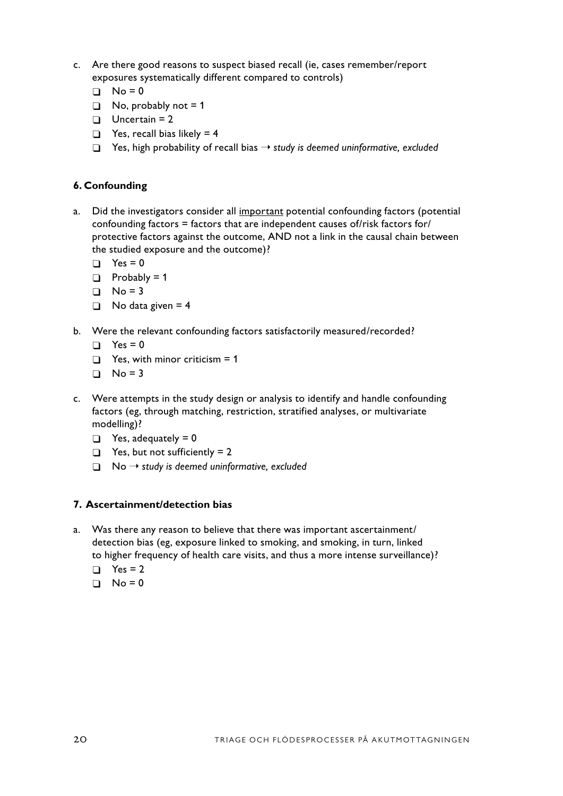- c. Are there good reasons to suspect biased recall (ie, cases remember/report exposures systematically different compared to controls)
	- $\Box$  No = 0
	- $\Box$  No, probably not = 1
	- $\Box$  Uncertain = 2
	- $\Box$  Yes, recall bias likely = 4
	- � Yes, high probability of recall bias ➝ *study is deemed uninformative, excluded*

#### **6. Confounding**

- a. Did the investigators consider all important potential confounding factors (potential confounding factors = factors that are independent causes of/risk factors for/ protective factors against the outcome, AND not a link in the causal chain between the studied exposure and the outcome)?
	- $\Box$  Yes = 0
	- $\Box$  Probably = 1
	- $\Box$  No = 3
	- $\Box$  No data given = 4
- b. Were the relevant confounding factors satisfactorily measured/recorded?
	- $\Box$  Yes = 0
	- $\Box$  Yes, with minor criticism = 1
	- $\Box$  No = 3
- c. Were attempts in the study design or analysis to identify and handle confounding factors (eg, through matching, restriction, stratified analyses, or multivariate modelling)?
	- $\Box$  Yes, adequately = 0
	- $\Box$  Yes, but not sufficiently = 2
	- $\Box$  No  $\rightarrow$  study is deemed uninformative, excluded

#### **7. Ascertainment/detection bias**

- a. Was there any reason to believe that there was important ascertainment/ detection bias (eg, exposure linked to smoking, and smoking, in turn, linked to higher frequency of health care visits, and thus a more intense surveillance)?
	- $\Box$  Yes = 2
	- $\Box$  No = 0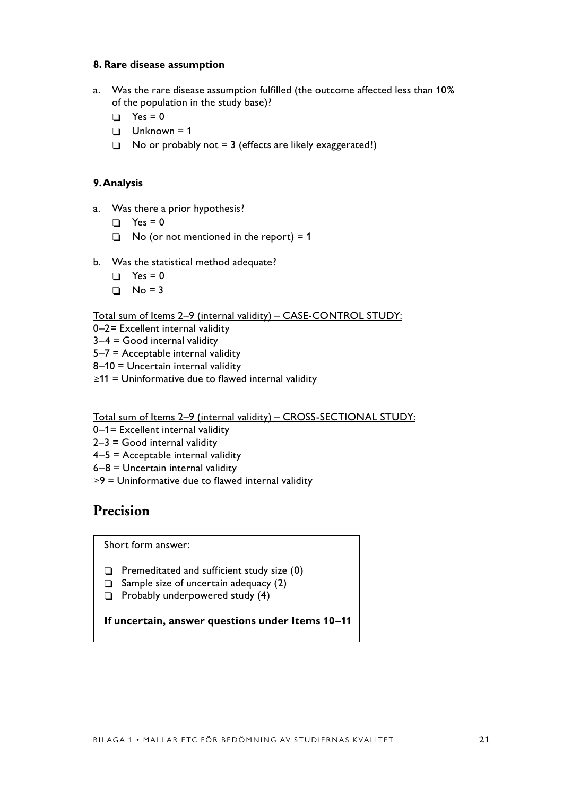#### **8. Rare disease assumption**

- a. Was the rare disease assumption fulfilled (the outcome affected less than 10% of the population in the study base)?
	- $\Box$  Yes = 0
	- $\Box$  Unknown = 1
	- $\Box$  No or probably not = 3 (effects are likely exaggerated!)

#### **9. Analysis**

- a. Was there a prior hypothesis?
	- $\Box$  Yes = 0
	- $\Box$  No (or not mentioned in the report) = 1
- b. Was the statistical method adequate?
	- $\Box$  Yes = 0
	- $\Box$  No = 3

#### Total sum of Items 2–9 (internal validity) – CASE-CONTROL STUDY:

- 0–2= Excellent internal validity
- $3-4$  = Good internal validity
- 5–7 = Acceptable internal validity
- 8–10 = Uncertain internal validity
- ≥11 = Uninformative due to flawed internal validity

#### Total sum of Items 2–9 (internal validity) – CROSS-SECTIONAL STUDY:

- 0–1= Excellent internal validity
- $2-3$  = Good internal validity
- 4–5 = Acceptable internal validity
- 6–8 = Uncertain internal validity
- ≥9 = Uninformative due to flawed internal validity

# **Precision**

Short form answer:

- $\Box$  Premeditated and sufficient study size (0)
- $\Box$  Sample size of uncertain adequacy (2)
- $\Box$  Probably underpowered study (4)

### **If uncertain, answer questions under Items 10–11**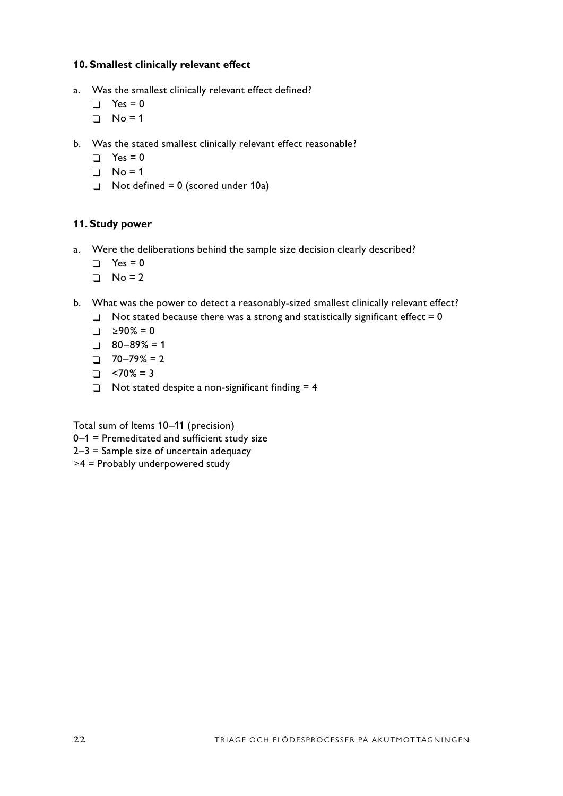### **10. Smallest clinically relevant effect**

- a. Was the smallest clinically relevant effect defined?
	- $\Box$  Yes = 0
	- $\Box$  No = 1
- b. Was the stated smallest clinically relevant effect reasonable?
	- $\Box$  Yes = 0
	- $\Box$  No = 1
	- $\Box$  Not defined = 0 (scored under 10a)

#### **11. Study power**

- a. Were the deliberations behind the sample size decision clearly described?
	- $\Box$  Yes = 0
	- $\Box$  No = 2
- b. What was the power to detect a reasonably-sized smallest clinically relevant effect?
	- $\Box$  Not stated because there was a strong and statistically significant effect = 0
	- $\Box$  ≥90% = 0
	- $\Box$  80–89% = 1
	- $\Box$  70–79% = 2
	- $\Box$  <70% = 3
	- $\Box$  Not stated despite a non-significant finding = 4

Total sum of Items 10–11 (precision)

- 0–1 = Premeditated and sufficient study size
- 2–3 = Sample size of uncertain adequacy
- ≥4 = Probably underpowered study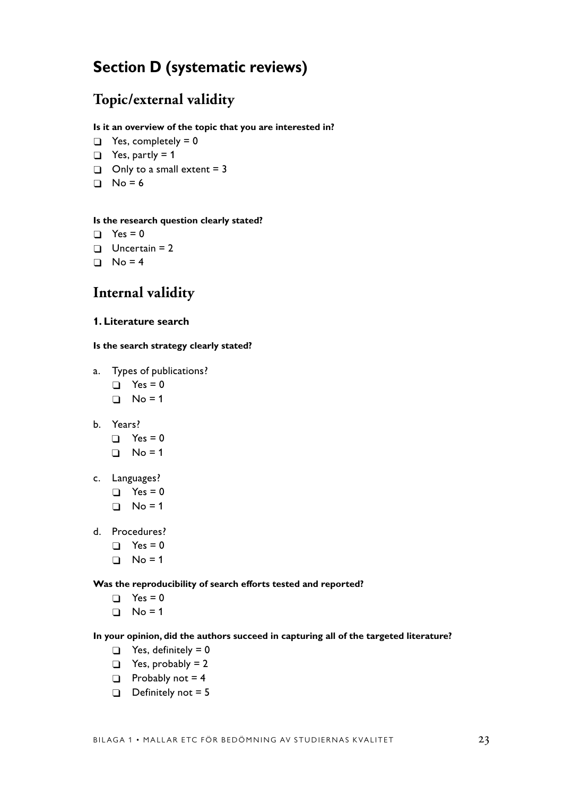# **Section D (systematic reviews)**

# **Topic/external validity**

#### **Is it an overview of the topic that you are interested in?**

- $\Box$  Yes, completely = 0
- $\Box$  Yes, partly = 1
- $\Box$  Only to a small extent = 3
- $\Box$  No = 6

#### **Is the research question clearly stated?**

- $\Box$  Yes = 0
- $\Box$  Uncertain = 2
- $\Box$  No = 4

# **Internal validity**

#### **1. Literature search**

#### **Is the search strategy clearly stated?**

- a. Types of publications?
	- $\Box$  Yes = 0
	- $\Box$  No = 1
- b. Years?
	- $\Box$  Yes = 0
	- $\Box$  No = 1
- c. Languages?
	- $\Box$  Yes = 0
	- $\Box$  No = 1
- d. Procedures?
	- $\Box$  Yes = 0
	- $\Box$  No = 1

#### **Was the reproducibility of search efforts tested and reported?**

- $\Box$  Yes = 0
- $\Box$  No = 1

#### **In your opinion, did the authors succeed in capturing all of the targeted literature?**

- $\Box$  Yes, definitely = 0
- $\Box$  Yes, probably = 2
- $\Box$  Probably not = 4
- $\Box$  Definitely not = 5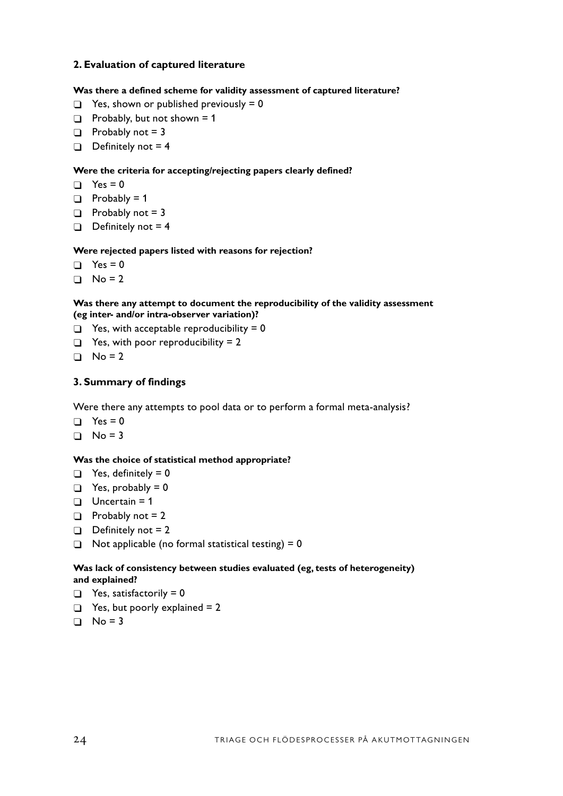### **2. Evaluation of captured literature**

#### **Was there a defined scheme for validity assessment of captured literature?**

- $\Box$  Yes, shown or published previously = 0
- $\Box$  Probably, but not shown = 1
- $\Box$  Probably not = 3
- $\Box$  Definitely not = 4

#### **Were the criteria for accepting/rejecting papers clearly defined?**

- $\Box$  Yes = 0
- $\Box$  Probably = 1
- $\Box$  Probably not = 3
- $\Box$  Definitely not = 4

#### **Were rejected papers listed with reasons for rejection?**

- $\Box$  Yes = 0
- $\Box$  No = 2

#### **Was there any attempt to document the reproducibility of the validity assessment (eg inter- and/or intra-observer variation)?**

- $\Box$  Yes, with acceptable reproducibility = 0
- $\Box$  Yes, with poor reproducibility = 2
- $\Box$  No = 2

#### **3. Summary of findings**

Were there any attempts to pool data or to perform a formal meta-analysis?

- $\Box$  Yes = 0
- $\Box$  No = 3

#### **Was the choice of statistical method appropriate?**

- $\Box$  Yes, definitely = 0
- $\Box$  Yes, probably = 0
- $\Box$  Uncertain = 1
- $\Box$  Probably not = 2
- $\Box$  Definitely not = 2
- $\Box$  Not applicable (no formal statistical testing) = 0

#### **Was lack of consistency between studies evaluated (eg, tests of heterogeneity) and explained?**

- $\Box$  Yes, satisfactorily = 0
- $\Box$  Yes, but poorly explained = 2
- $\Box$  No = 3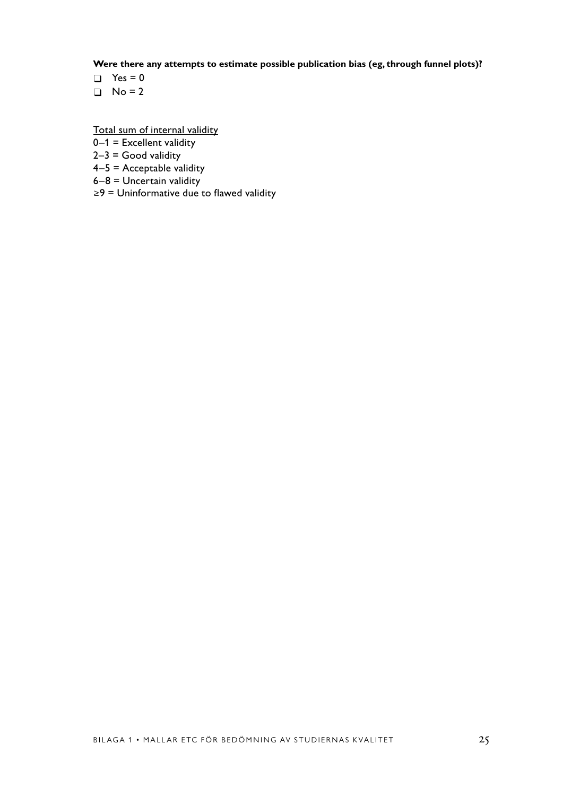**Were there any attempts to estimate possible publication bias (eg, through funnel plots)?**

- $\Box$  Yes = 0
- $\Box$  No = 2

Total sum of internal validity

- $0-1$  = Excellent validity
- $2-3$  = Good validity
- $4-5$  = Acceptable validity
- $6-8$  = Uncertain validity
- ≥9 = Uninformative due to flawed validity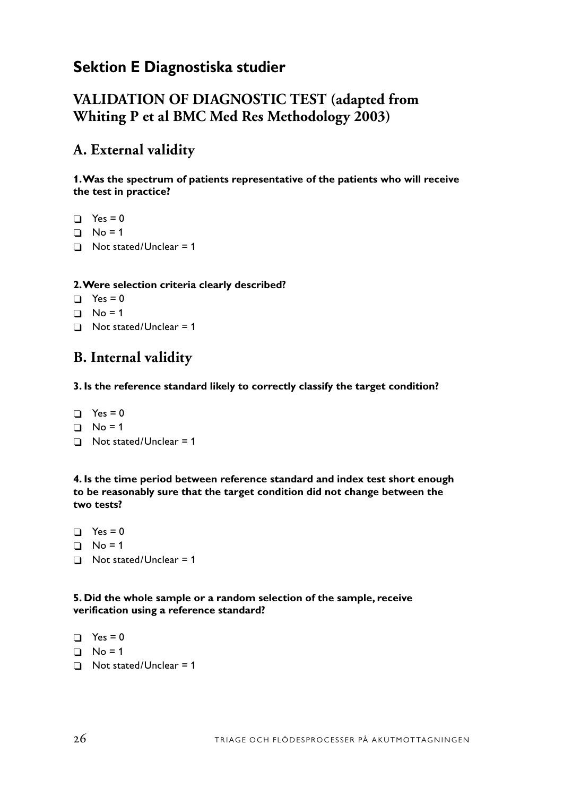# **Sektion E Diagnostiska studier**

# **VALIDATION OF DIAGNOSTIC TEST (adapted from Whiting P et al BMC Med Res Methodology 2003)**

# **A. External validity**

**1. Was the spectrum of patients representative of the patients who will receive the test in practice?**

```
\Box Yes = 0
\Box No = 1
\Box Not stated/Unclear = 1
```
## **2. Were selection criteria clearly described?**

 $\Box$  Yes = 0  $\Box$  No = 1  $\Box$  Not stated/Unclear = 1

# **B. Internal validity**

**3. Is the reference standard likely to correctly classify the target condition?**

 $\Box$  Yes = 0  $\Box$  No = 1  $\Box$  Not stated/Unclear = 1

**4. Is the time period between reference standard and index test short enough to be reasonably sure that the target condition did not change between the two tests?**

 $\Box$  Yes = 0  $\Box$  No = 1  $\Box$  Not stated/Unclear = 1

**5. Did the whole sample or a random selection of the sample, receive verification using a reference standard?**

```
\Box Yes = 0
\Box No = 1
\Box Not stated/Unclear = 1
```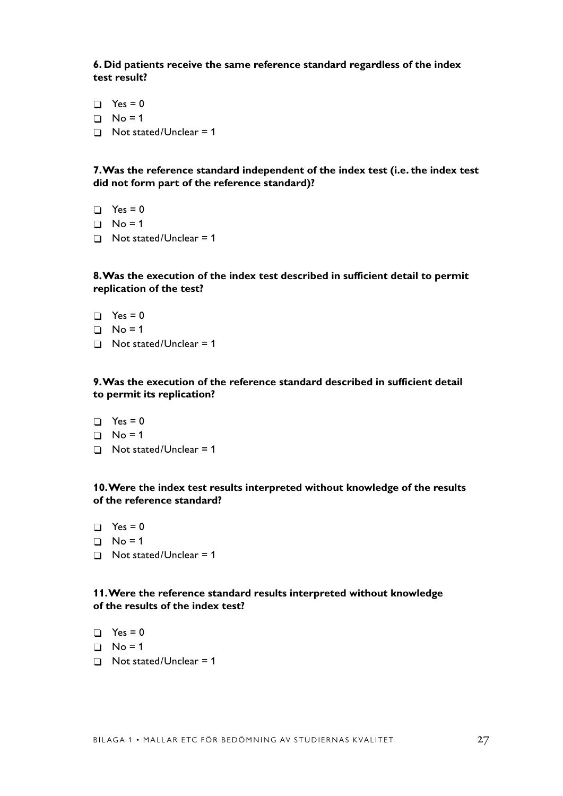**6. Did patients receive the same reference standard regardless of the index test result?**

- $\Box$  Yes = 0
- $\Box$  No = 1
- $\Box$  Not stated/Unclear = 1

**7. Was the reference standard independent of the index test (i.e. the index test did not form part of the reference standard)?**

- $\Box$  Yes = 0
- $\Box$  No = 1
- $\Box$  Not stated/Unclear = 1

#### **8. Was the execution of the index test described in sufficient detail to permit replication of the test?**

- $\Box$  Yes = 0
- $\Box$  No = 1
- $\Box$  Not stated/Unclear = 1

#### **9. Was the execution of the reference standard described in sufficient detail to permit its replication?**

- $\Box$  Yes = 0
- $\Box$  No = 1
- $\Box$  Not stated/Unclear = 1

#### **10. Were the index test results interpreted without knowledge of the results of the reference standard?**

- $\Box$  Yes = 0
- $\Box$  No = 1
- $\Box$  Not stated/Unclear = 1

#### **11. Were the reference standard results interpreted without knowledge of the results of the index test?**

- $\Box$  Yes = 0
- $\Box$  No = 1
- $\Box$  Not stated/Unclear = 1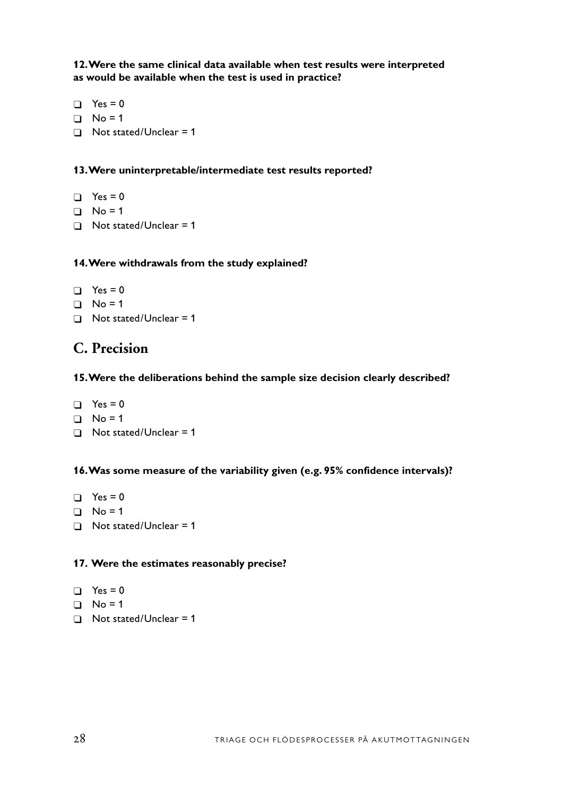**12. Were the same clinical data available when test results were interpreted as would be available when the test is used in practice?**

 $\Box$  Yes = 0  $\Box$  No = 1  $\Box$  Not stated/Unclear = 1

## **13. Were uninterpretable/intermediate test results reported?**

 $\Box$  Yes = 0  $\Box$  No = 1  $\Box$  Not stated/Unclear = 1

## **14. Were withdrawals from the study explained?**

```
\Box Yes = 0
\Box No = 1
\Box Not stated/Unclear = 1
```
# **C. Precision**

## **15. Were the deliberations behind the sample size decision clearly described?**

 $\Box$  Yes = 0  $\Box$  No = 1  $\Box$  Not stated/Unclear = 1

## **16. Was some measure of the variability given (e.g. 95% confidence intervals)?**

 $\Box$  Yes = 0  $\Box$  No = 1  $\Box$  Not stated/Unclear = 1

### **17. Were the estimates reasonably precise?**

```
\Box Yes = 0
```
- $\Box$  No = 1
- $\Box$  Not stated/Unclear = 1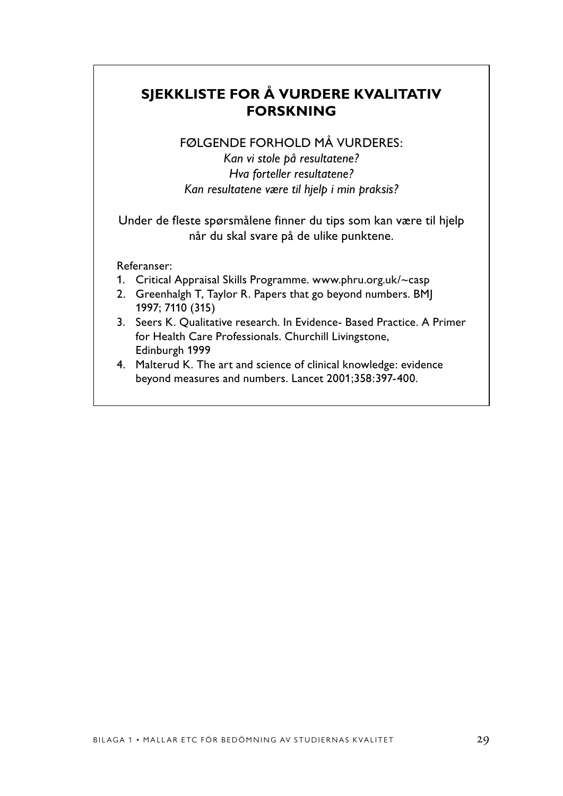# **SJEKKLISTE FOR Å VURDERE KVALITATIV FORSKNING**

# FØLGENDE FORHOLD MÅ VURDERES:

*Kan vi stole på resultatene? Hva forteller resultatene? Kan resultatene være til hjelp i min praksis?*

Under de fleste spørsmålene finner du tips som kan være til hjelp når du skal svare på de ulike punktene.

## Referanser:

- 1. Critical Appraisal Skills Programme. www.phru.org.uk/~casp
- 2. Greenhalgh T, Taylor R. Papers that go beyond numbers. BMJ 1997; 7110 (315)
- 3. Seers K. Qualitative research. In Evidence- Based Practice. A Primer for Health Care Professionals. Churchill Livingstone, Edinburgh 1999
- 4. Malterud K. The art and science of clinical knowledge: evidence beyond measures and numbers. Lancet 2001;358:397-400.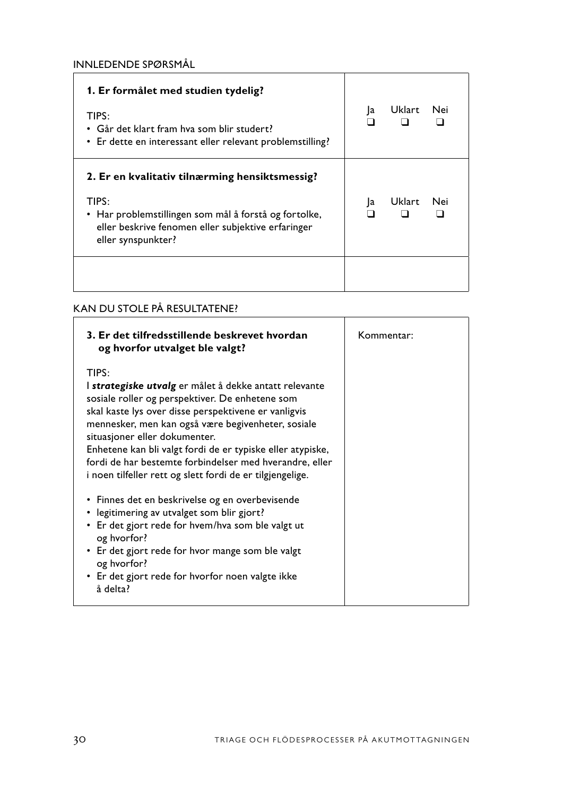| 1. Er formålet med studien tydelig?<br>TIPS:<br>• Går det klart fram hva som blir studert?<br>• Er dette en interessant eller relevant problemstilling?                                      | Ja | Uklart | Nei |
|----------------------------------------------------------------------------------------------------------------------------------------------------------------------------------------------|----|--------|-----|
| 2. Er en kvalitativ tilnærming hensiktsmessig?<br>TIPS:<br>• Har problemstillingen som mål å forstå og fortolke,<br>eller beskrive fenomen eller subjektive erfaringer<br>eller synspunkter? | a  | Uklart | Nei |
|                                                                                                                                                                                              |    |        |     |

# KAN DU STOLE PÅ RESULTATENE?

| 3. Er det tilfredsstillende beskrevet hvordan<br>og hvorfor utvalget ble valgt?                                                                                                                                                                                                                                                                                                                                                                                                                                                                                                                                              | Kommentar: |
|------------------------------------------------------------------------------------------------------------------------------------------------------------------------------------------------------------------------------------------------------------------------------------------------------------------------------------------------------------------------------------------------------------------------------------------------------------------------------------------------------------------------------------------------------------------------------------------------------------------------------|------------|
| TIPS:<br>I strategiske utvalg er målet å dekke antatt relevante<br>sosiale roller og perspektiver. De enhetene som<br>skal kaste lys over disse perspektivene er vanligvis<br>mennesker, men kan også være begivenheter, sosiale<br>situasjoner eller dokumenter.<br>Enhetene kan bli valgt fordi de er typiske eller atypiske,<br>fordi de har bestemte forbindelser med hverandre, eller<br>i noen tilfeller rett og slett fordi de er tilgjengelige.<br>• Finnes det en beskrivelse og en overbevisende<br>• legitimering av utvalget som blir gjort?<br>• Er det gjort rede for hvem/hva som ble valgt ut<br>og hvorfor? |            |
| • Er det gjort rede for hvor mange som ble valgt<br>og hvorfor?<br>• Er det gjort rede for hvorfor noen valgte ikke<br>å delta?                                                                                                                                                                                                                                                                                                                                                                                                                                                                                              |            |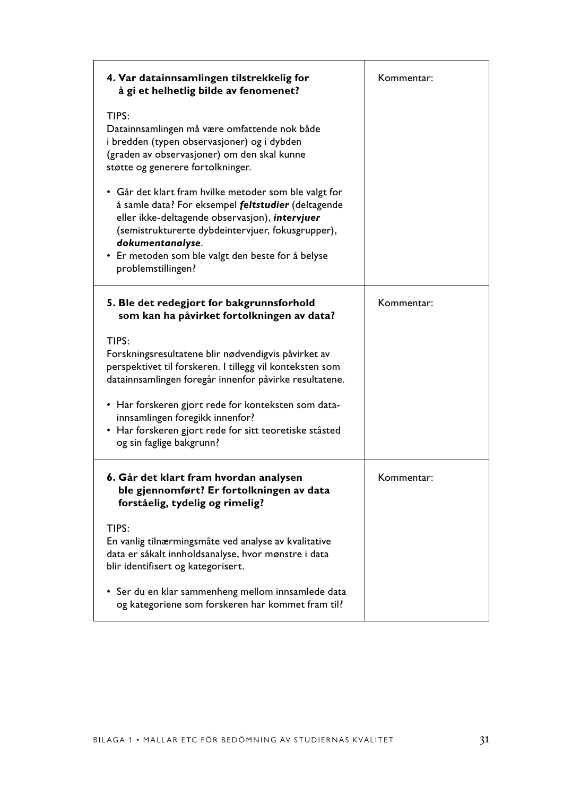| 4. Var datainnsamlingen tilstrekkelig for<br>å gi et helhetlig bilde av fenomenet?                                                                                                                                                                                                                                | Kommentar: |
|-------------------------------------------------------------------------------------------------------------------------------------------------------------------------------------------------------------------------------------------------------------------------------------------------------------------|------------|
| TIPS:<br>Datainnsamlingen må være omfattende nok både<br>i bredden (typen observasjoner) og i dybden<br>(graden av observasjoner) om den skal kunne<br>støtte og generere fortolkninger.                                                                                                                          |            |
| • Går det klart fram hvilke metoder som ble valgt for<br>å samle data? For eksempel feltstudier (deltagende<br>eller ikke-deltagende observasjon), intervjuer<br>(semistrukturerte dybdeintervjuer, fokusgrupper),<br>dokumentanalyse.<br>• Er metoden som ble valgt den beste for å belyse<br>problemstillingen? |            |
| 5. Ble det redegjort for bakgrunnsforhold<br>som kan ha påvirket fortolkningen av data?                                                                                                                                                                                                                           | Kommentar: |
| TIPS:<br>Forskningsresultatene blir nødvendigvis påvirket av<br>perspektivet til forskeren. I tillegg vil konteksten som<br>datainnsamlingen foregår innenfor påvirke resultatene.                                                                                                                                |            |
| • Har forskeren gjort rede for konteksten som data-<br>innsamlingen foregikk innenfor?<br>• Har forskeren gjort rede for sitt teoretiske ståsted<br>og sin faglige bakgrunn?                                                                                                                                      |            |
| 6. Går det klart fram hvordan analysen<br>ble gjennomført? Er fortolkningen av data<br>forståelig, tydelig og rimelig?                                                                                                                                                                                            | Kommentar: |
| TIPS:<br>En vanlig tilnærmingsmåte ved analyse av kvalitative<br>data er såkalt innholdsanalyse, hvor mønstre i data<br>blir identifisert og kategorisert.                                                                                                                                                        |            |
| • Ser du en klar sammenheng mellom innsamlede data<br>og kategoriene som forskeren har kommet fram til?                                                                                                                                                                                                           |            |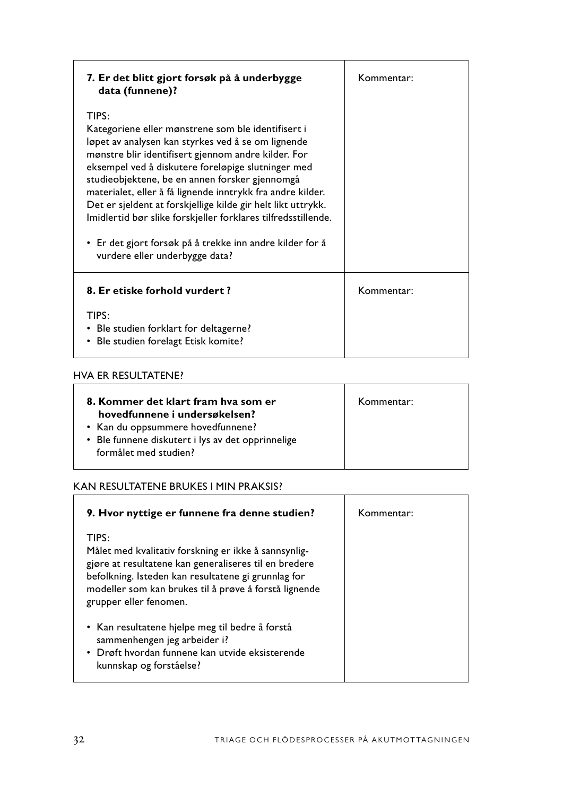| 7. Er det blitt gjort forsøk på å underbygge<br>data (funnene)?                                                                                                                                                                                                                                                                                                                                                                                                                                                                                                               | Kommentar: |
|-------------------------------------------------------------------------------------------------------------------------------------------------------------------------------------------------------------------------------------------------------------------------------------------------------------------------------------------------------------------------------------------------------------------------------------------------------------------------------------------------------------------------------------------------------------------------------|------------|
| TIPS:<br>Kategoriene eller mønstrene som ble identifisert i<br>løpet av analysen kan styrkes ved å se om lignende<br>mønstre blir identifisert gjennom andre kilder. For<br>eksempel ved å diskutere foreløpige slutninger med<br>studieobjektene, be en annen forsker gjennomgå<br>materialet, eller å få lignende inntrykk fra andre kilder.<br>Det er sjeldent at forskjellige kilde gir helt likt uttrykk.<br>Imidlertid bør slike forskjeller forklares tilfredsstillende.<br>• Er det gjort forsøk på å trekke inn andre kilder for å<br>vurdere eller underbygge data? |            |
| 8. Er etiske forhold vurdert?<br>TIPS:<br>• Ble studien forklart for deltagerne?<br>Ble studien forelagt Etisk komite?                                                                                                                                                                                                                                                                                                                                                                                                                                                        | Kommentar: |

### HVA ER RESULTATENE?

| 8. Kommer det klart fram hva som er<br>hovedfunnene i undersøkelsen?<br>• Kan du oppsummere hovedfunnene?<br>• Ble funnene diskutert i lys av det opprinnelige<br>formålet med studien? | Kommentar: |
|-----------------------------------------------------------------------------------------------------------------------------------------------------------------------------------------|------------|
|                                                                                                                                                                                         |            |

# KAN RESULTATENE BRUKES I MIN PRAKSIS?

| 9. Hvor nyttige er funnene fra denne studien?                                                                                                                                                                                                                    | Kommentar: |
|------------------------------------------------------------------------------------------------------------------------------------------------------------------------------------------------------------------------------------------------------------------|------------|
| TIPS:<br>Målet med kvalitativ forskning er ikke å sannsynlig-<br>gjøre at resultatene kan generaliseres til en bredere<br>befolkning. Isteden kan resultatene gi grunnlag for<br>modeller som kan brukes til å prøve å forstå lignende<br>grupper eller fenomen. |            |
| • Kan resultatene hjelpe meg til bedre å forstå<br>sammenhengen jeg arbeider i?<br>• Drøft hvordan funnene kan utvide eksisterende<br>kunnskap og forståelse?                                                                                                    |            |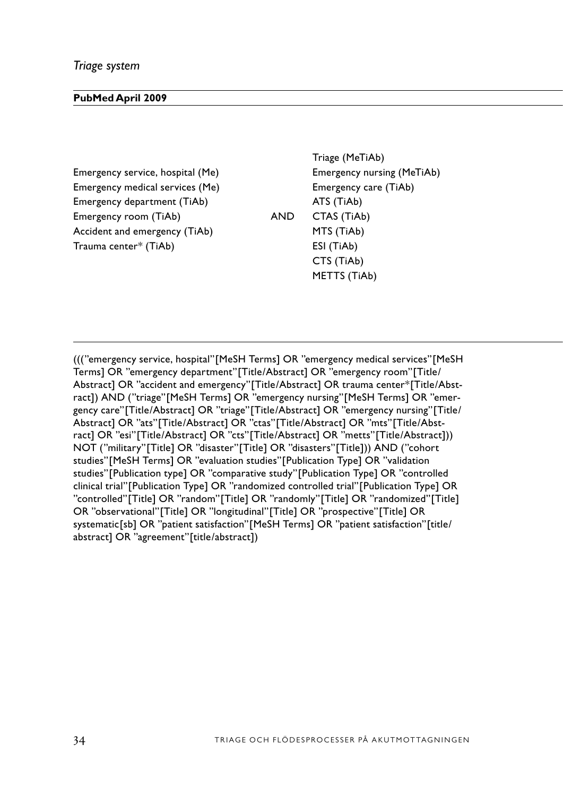#### **PubMed April 2009**

Emergency medical services (Me) Emergency care (TiAb) Emergency department (TiAb) and ATS (TiAb) ATS (TiAb) Accident and emergency (TiAb) MTS (TiAb)  $Tramma center* (TiAb)$  ESI (TiAb)

Triage (MeTiAb) Emergency service, hospital (Me) Emergency nursing (MeTiAb) Emergency room (TiAb) AND CTAS (TiAb) AND Random (Ti) NOT Disaster (Ti) CTS (TiAb) METTS (TiAb)

((("emergency service, hospital"[MeSH Terms] OR "emergency medical services"[MeSH Terms] OR "emergency department"[Title/Abstract] OR "emergency room"[Title/ Abstract] OR "accident and emergency"[Title/Abstract] OR trauma center\*[Title/Abstract]) AND ("triage"[MeSH Terms] OR "emergency nursing"[MeSH Terms] OR "emergency care"[Title/Abstract] OR "triage"[Title/Abstract] OR "emergency nursing"[Title/ Abstract] OR "ats"[Title/Abstract] OR "ctas"[Title/Abstract] OR "mts"[Title/Abstract] OR "esi"[Title/Abstract] OR "cts"[Title/Abstract] OR "metts"[Title/Abstract])) NOT ("military"[Title] OR "disaster"[Title] OR "disasters"[Title])) AND ("cohort studies"[MeSH Terms] OR "evaluation studies"[Publication Type] OR "validation studies"[Publication type] OR "comparative study"[Publication Type] OR "controlled clinical trial"[Publication Type] OR "randomized controlled trial"[Publication Type] OR "controlled"[Title] OR "random"[Title] OR "randomly"[Title] OR "randomized"[Title] OR "observational"[Title] OR "longitudinal"[Title] OR "prospective"[Title] OR systematic[sb] OR "patient satisfaction"[MeSH Terms] OR "patient satisfaction"[title/ abstract] OR "agreement"[title/abstract])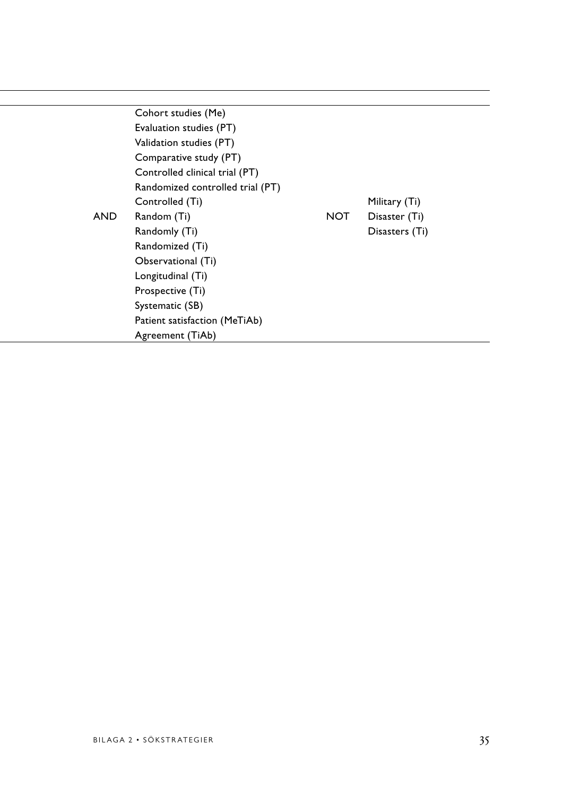| Cohort studies (Me)              |                |
|----------------------------------|----------------|
| Evaluation studies (PT)          |                |
| Validation studies (PT)          |                |
| Comparative study (PT)           |                |
| Controlled clinical trial (PT)   |                |
| Randomized controlled trial (PT) |                |
| Controlled (Ti)                  | Military (Ti)  |
| <b>NOT</b><br>Random (Ti)        | Disaster (Ti)  |
| Randomly (Ti)                    | Disasters (Ti) |
| Randomized (Ti)                  |                |
| Observational (Ti)               |                |
| Longitudinal (Ti)                |                |
| Prospective (Ti)                 |                |
| Systematic (SB)                  |                |
| Patient satisfaction (MeTiAb)    |                |
| Agreement (TiAb)                 |                |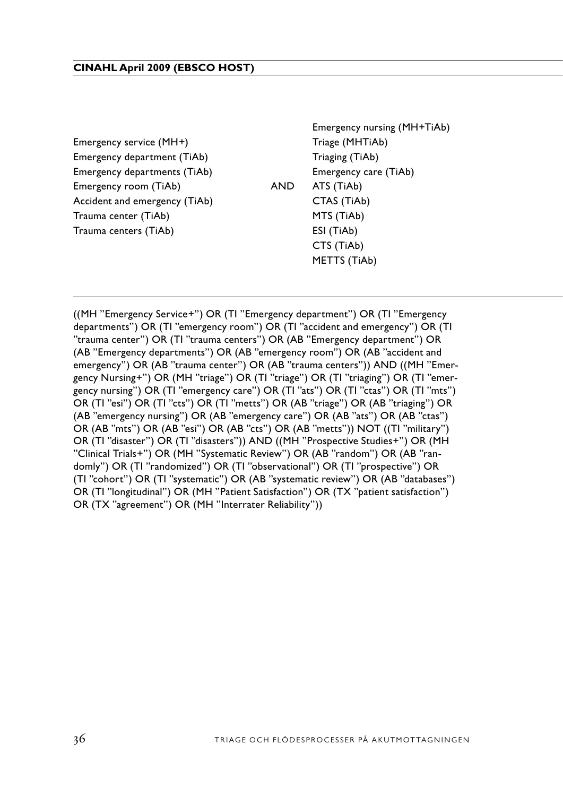Emergency service (MH+) Triage (MHTiAb) Emergency department (TiAb) Triaging (TiAb) Emergency departments (TiAb) Emergency care (TiAb) Emergency room (TiAb) AND ATS (TiAb) Accident and emergency (TiAb) CTAS (TiAb) Trauma center (TiAb) Systematic (TiAb) MTS (TiAb) Trauma centers (TiAb) ESI (TiAb)

Emergency nursing (MH+TiAb) CTS (TiAb) Longitudinal (Tiable 1995) and the contract of the contract of the contract of the contract of the contract of the contract of the contract of the contract of the contract of the contract of the contract of the METTS (TiAb)

((MH "Emergency Service+") OR (TI "Emergency department") OR (TI "Emergency departments") OR (TI "emergency room") OR (TI "accident and emergency") OR (TI "trauma center") OR (TI "trauma centers") OR (AB "Emergency department") OR (AB "Emergency departments") OR (AB "emergency room") OR (AB "accident and emergency") OR (AB "trauma center") OR (AB "trauma centers")) AND ((MH "Emergency Nursing+") OR (MH "triage") OR (TI "triage") OR (TI "triaging") OR (TI "emergency nursing") OR (TI "emergency care") OR (TI "ats") OR (TI "ctas") OR (TI "mts") OR (TI "esi") OR (TI "cts") OR (TI "metts") OR (AB "triage") OR (AB "triaging") OR (AB "emergency nursing") OR (AB "emergency care") OR (AB "ats") OR (AB "ctas") OR (AB "mts") OR (AB "esi") OR (AB "cts") OR (AB "metts")) NOT ((TI "military") OR (TI "disaster") OR (TI "disasters")) AND ((MH "Prospective Studies+") OR (MH "Clinical Trials+") OR (MH "Systematic Review") OR (AB "random") OR (AB "randomly") OR (TI "randomized") OR (TI "observational") OR (TI "prospective") OR (TI "cohort") OR (TI "systematic") OR (AB "systematic review") OR (AB "databases") OR (TI "longitudinal") OR (MH "Patient Satisfaction") OR (TX "patient satisfaction") OR (TX "agreement") OR (MH "Interrater Reliability"))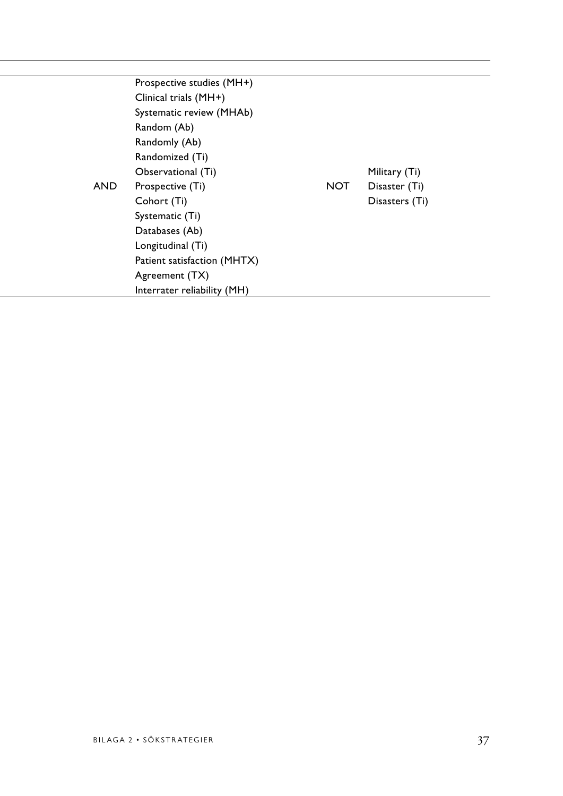|     | Prospective studies (MH+)   |            |                |  |
|-----|-----------------------------|------------|----------------|--|
|     | Clinical trials (MH+)       |            |                |  |
|     | Systematic review (MHAb)    |            |                |  |
|     | Random (Ab)                 |            |                |  |
|     | Randomly (Ab)               |            |                |  |
|     | Randomized (Ti)             |            |                |  |
|     | Observational (Ti)          |            | Military (Ti)  |  |
| AND | Prospective (Ti)            | <b>NOT</b> | Disaster (Ti)  |  |
|     | Cohort (Ti)                 |            | Disasters (Ti) |  |
|     | Systematic (Ti)             |            |                |  |
|     | Databases (Ab)              |            |                |  |
|     | Longitudinal (Ti)           |            |                |  |
|     | Patient satisfaction (MHTX) |            |                |  |
|     | Agreement (TX)              |            |                |  |
|     | Interrater reliability (MH) |            |                |  |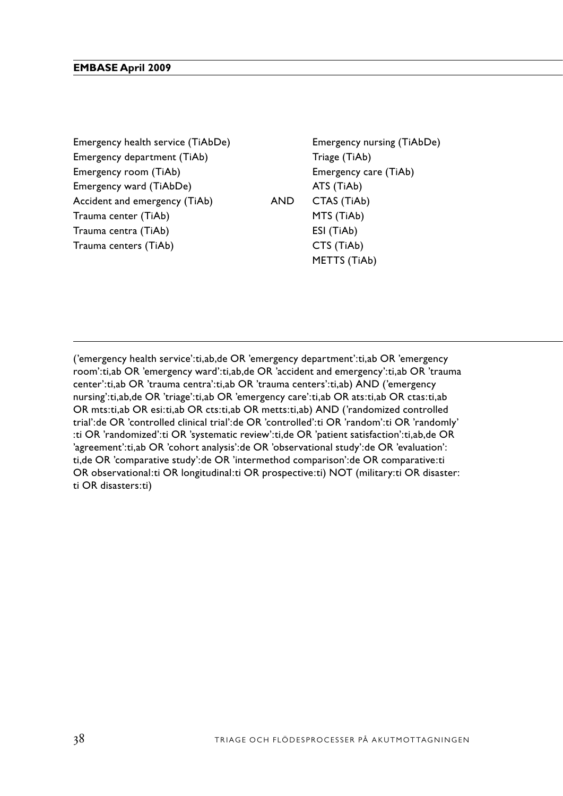Emergency department (TiAb) Triage (TiAb) Emergency room (TiAb) Systematic review of the Emergency care (TiAb) Systematic review (TiAb) Emergency ward (TiAbDe) and  $(ThA)$  Patient satisfaction (TiAb) emails (TiAb) Accident and emergency (TiAb) AND CTAS (TiAb) Trauma center (TiAb) Gold analysis Muslim MTS (TiAb) Cohort analysis (De) Disasters (De) Disasters (De) Disast Trauma centra (TiAb) estimational study (De) ESI (TiAb) Trauma centers (TiAb) Evaluation CTS (TiAb)

Emergency health service (TiAbDe) Emergency nursing (TiAbDe) METTS (TiAb)

('emergency health service':ti,ab,de OR 'emergency department':ti,ab OR 'emergency room':ti,ab OR 'emergency ward':ti,ab,de OR 'accident and emergency':ti,ab OR 'trauma center':ti,ab OR 'trauma centra':ti,ab OR 'trauma centers':ti,ab) AND ('emergency nursing':ti,ab,de OR 'triage':ti,ab OR 'emergency care':ti,ab OR ats:ti,ab OR ctas:ti,ab OR mts:ti,ab OR esi:ti,ab OR cts:ti,ab OR metts:ti,ab) AND ('randomized controlled trial':de OR 'controlled clinical trial':de OR 'controlled':ti OR 'random':ti OR 'randomly' :ti OR 'randomized':ti OR 'systematic review':ti,de OR 'patient satisfaction':ti,ab,de OR 'agreement':ti,ab OR 'cohort analysis':de OR 'observational study':de OR 'evaluation': ti,de OR 'comparative study':de OR 'intermethod comparison':de OR comparative:ti OR observational:ti OR longitudinal:ti OR prospective:ti) NOT (military:ti OR disaster: ti OR disasters:ti)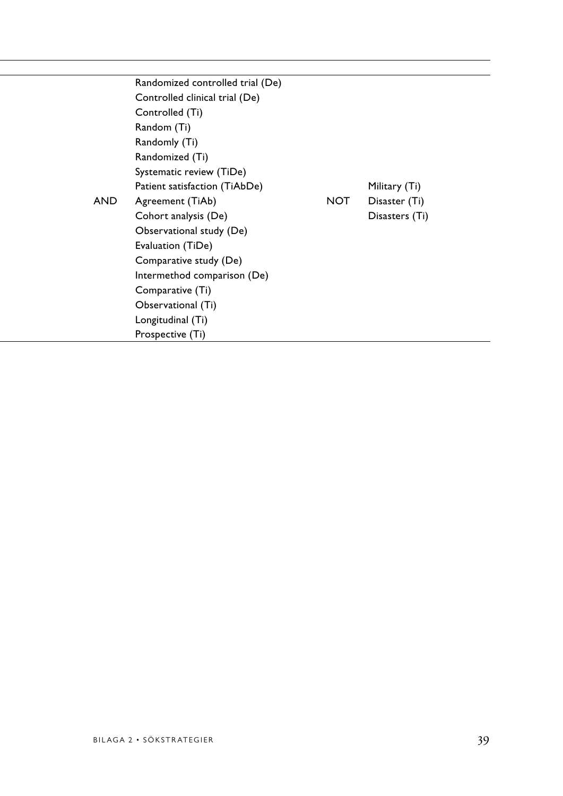|            | Randomized controlled trial (De) |                |
|------------|----------------------------------|----------------|
|            | Controlled clinical trial (De)   |                |
|            | Controlled (Ti)                  |                |
|            | Random (Ti)                      |                |
|            | Randomly (Ti)                    |                |
|            | Randomized (Ti)                  |                |
|            | Systematic review (TiDe)         |                |
|            | Patient satisfaction (TiAbDe)    | Military (Ti)  |
| <b>AND</b> | <b>NOT</b><br>Agreement (TiAb)   | Disaster (Ti)  |
|            | Cohort analysis (De)             | Disasters (Ti) |
|            | Observational study (De)         |                |
|            | Evaluation (TiDe)                |                |
|            | Comparative study (De)           |                |
|            | Intermethod comparison (De)      |                |
|            | Comparative (Ti)                 |                |
|            | Observational (Ti)               |                |
|            | Longitudinal (Ti)                |                |
|            | Prospective (Ti)                 |                |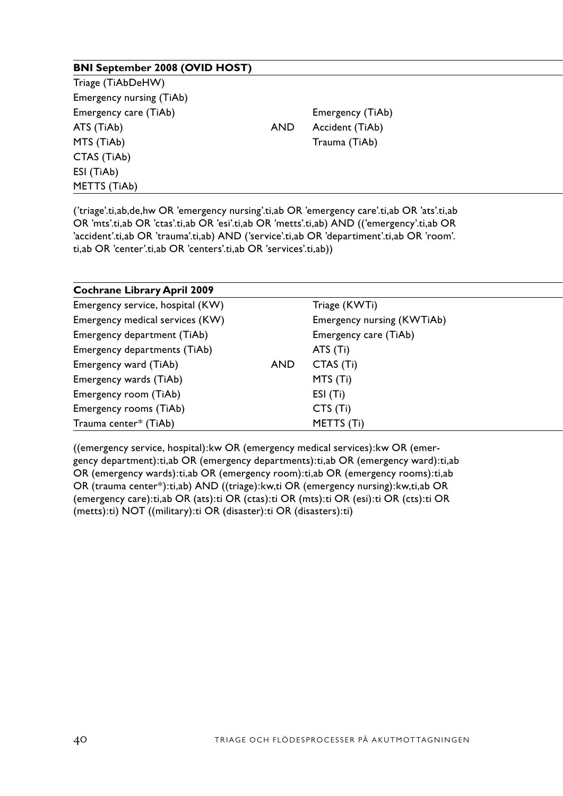| <b>BNI September 2008 (OVID HOST)</b> |     |                  |  |
|---------------------------------------|-----|------------------|--|
| Triage (TiAbDeHW)                     |     |                  |  |
| Emergency nursing (TiAb)              |     |                  |  |
| Emergency care (TiAb)                 |     | Emergency (TiAb) |  |
| ATS (TiAb)                            | AND | Accident (TiAb)  |  |
| MTS (TiAb)                            |     | Trauma (TiAb)    |  |
| CTAS (TiAb)                           |     |                  |  |
| ESI (TiAb)                            |     |                  |  |
| METTS (TiAb)                          |     |                  |  |
|                                       |     |                  |  |

('triage'.ti,ab,de,hw OR 'emergency nursing'.ti,ab OR 'emergency care'.ti,ab OR 'ats'.ti,ab OR 'mts'.ti,ab OR 'ctas'.ti,ab OR 'esi'.ti,ab OR 'metts'.ti,ab) AND (('emergency'.ti,ab OR 'accident'.ti,ab OR 'trauma'.ti,ab) AND ('service'.ti,ab OR 'departiment'.ti,ab OR 'room'. ti,ab OR 'center'.ti,ab OR 'centers'.ti,ab OR 'services'.ti,ab))

| <b>Cochrane Library April 2009</b> |     |                            |  |
|------------------------------------|-----|----------------------------|--|
| Emergency service, hospital (KW)   |     | Triage (KWTi)              |  |
| Emergency medical services (KW)    |     | Emergency nursing (KWTiAb) |  |
| Emergency department (TiAb)        |     | Emergency care (TiAb)      |  |
| Emergency departments (TiAb)       |     | ATS (Ti)                   |  |
| Emergency ward (TiAb)              | AND | CTAS (Ti)                  |  |
| Emergency wards (TiAb)             |     | MTS (Ti)                   |  |
| Emergency room (TiAb)              |     | ESI (Ti)                   |  |
| Emergency rooms (TiAb)             |     | CTS(Ti)                    |  |
| Trauma center* (TiAb)              |     | METTS (Ti)                 |  |

((emergency service, hospital):kw OR (emergency medical services):kw OR (emergency department):ti,ab OR (emergency departments):ti,ab OR (emergency ward):ti,ab OR (emergency wards):ti,ab OR (emergency room):ti,ab OR (emergency rooms):ti,ab OR (trauma center\*):ti,ab) AND ((triage):kw,ti OR (emergency nursing):kw,ti,ab OR (emergency care):ti,ab OR (ats):ti OR (ctas):ti OR (mts):ti OR (esi):ti OR (cts):ti OR (metts):ti) NOT ((military):ti OR (disaster):ti OR (disasters):ti)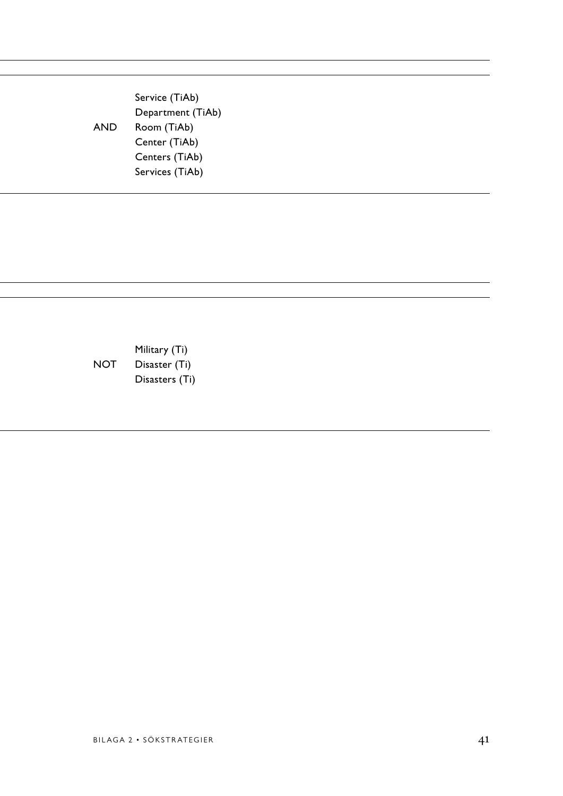Emergency nursing (TiAb) Service (TiAb) Department (TiAb) AND Room (TiAb) MTS (TiAb) Trauma (TiAb)  $\sim$ **Centers (TiAb)** Centers (TiAb) Services (TiAb)

Emergency departments (Ti)  $M$ ilitary (Ti) Emergency MOT Disaster (Ti) Emergency was Disasters (Ti)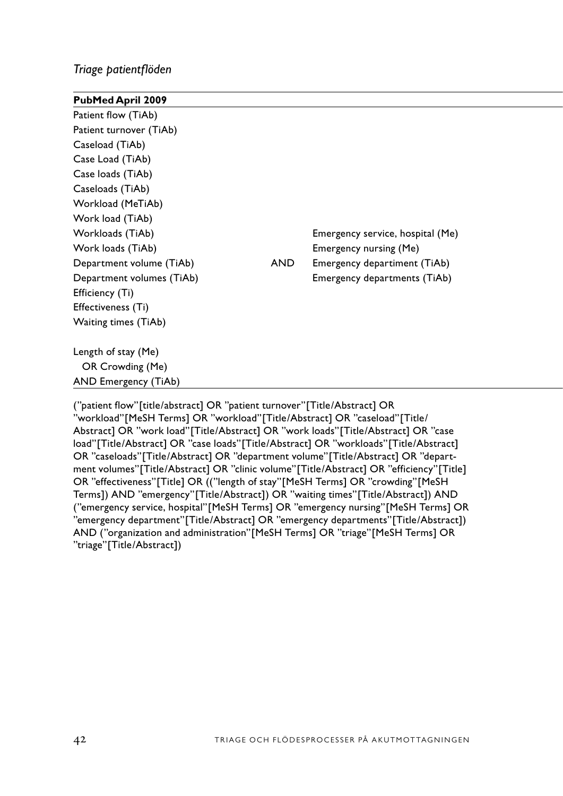# *Triage patientflöden*

| PubMed April 2009         |            |                                  |  |
|---------------------------|------------|----------------------------------|--|
| Patient flow (TiAb)       |            |                                  |  |
| Patient turnover (TiAb)   |            |                                  |  |
| Caseload (TiAb)           |            |                                  |  |
| Case Load (TiAb)          |            |                                  |  |
| Case loads (TiAb)         |            |                                  |  |
| Caseloads (TiAb)          |            |                                  |  |
| Workload (MeTiAb)         |            |                                  |  |
| Work load (TiAb)          |            |                                  |  |
| Workloads (TiAb)          |            | Emergency service, hospital (Me) |  |
| Work loads (TiAb)         |            | Emergency nursing (Me)           |  |
| Department volume (TiAb)  | <b>AND</b> | Emergency departiment (TiAb)     |  |
| Department volumes (TiAb) |            | Emergency departments (TiAb)     |  |
| Efficiency (Ti)           |            |                                  |  |
| Effectiveness (Ti)        |            |                                  |  |
| Waiting times (TiAb)      |            |                                  |  |
| Length of stay (Me)       |            |                                  |  |
| OR Crowding (Me)          |            |                                  |  |
| AND Emergency (TiAb)      |            |                                  |  |
|                           |            |                                  |  |

("patient flow"[title/abstract] OR "patient turnover"[Title/Abstract] OR "workload"[MeSH Terms] OR "workload"[Title/Abstract] OR "caseload"[Title/ Abstract] OR "work load"[Title/Abstract] OR "work loads"[Title/Abstract] OR "case load"[Title/Abstract] OR "case loads"[Title/Abstract] OR "workloads"[Title/Abstract] OR "caseloads"[Title/Abstract] OR "department volume"[Title/Abstract] OR "department volumes"[Title/Abstract] OR "clinic volume"[Title/Abstract] OR "efficiency"[Title] OR "effectiveness"[Title] OR (("length of stay"[MeSH Terms] OR "crowding"[MeSH Terms]) AND "emergency"[Title/Abstract]) OR "waiting times"[Title/Abstract]) AND ("emergency service, hospital"[MeSH Terms] OR "emergency nursing"[MeSH Terms] OR "emergency department"[Title/Abstract] OR "emergency departments"[Title/Abstract]) AND ("organization and administration"[MeSH Terms] OR "triage"[MeSH Terms] OR "triage"[Title/Abstract])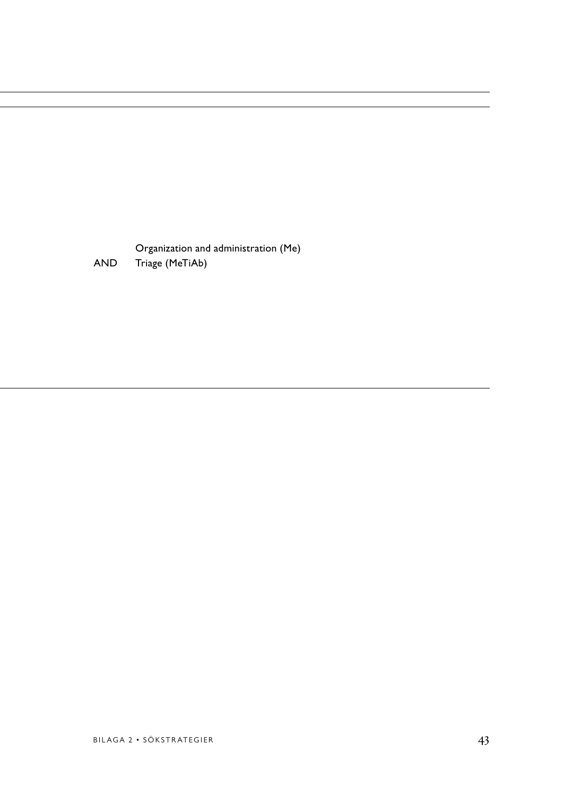Organization and administration (Me) AND Triage (MeTiAb)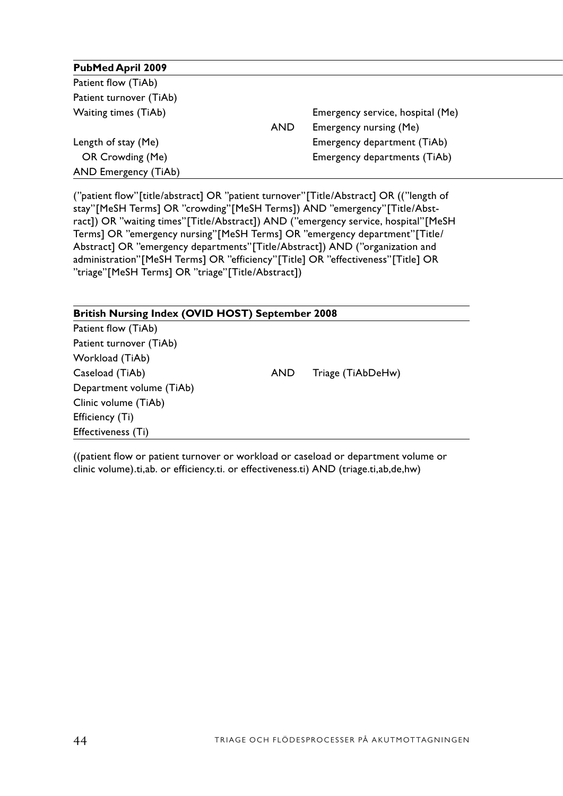| <b>PubMed April 2009</b> |            |                                  |
|--------------------------|------------|----------------------------------|
| Patient flow (TiAb)      |            |                                  |
| Patient turnover (TiAb)  |            |                                  |
| Waiting times (TiAb)     |            | Emergency service, hospital (Me) |
|                          | <b>AND</b> | Emergency nursing (Me)           |
| Length of stay (Me)      |            | Emergency department (TiAb)      |
| OR Crowding (Me)         |            | Emergency departments (TiAb)     |
| AND Emergency (TiAb)     |            |                                  |

("patient flow"[title/abstract] OR "patient turnover"[Title/Abstract] OR (("length of stay"[MeSH Terms] OR "crowding"[MeSH Terms]) AND "emergency"[Title/Abstract]) OR "waiting times"[Title/Abstract]) AND ("emergency service, hospital"[MeSH Terms] OR "emergency nursing"[MeSH Terms] OR "emergency department"[Title/ Abstract] OR "emergency departments"[Title/Abstract]) AND ("organization and administration"[MeSH Terms] OR "efficiency"[Title] OR "effectiveness"[Title] OR "triage"[MeSH Terms] OR "triage"[Title/Abstract])

| <b>British Nursing Index (OVID HOST) September 2008</b> |     |                   |
|---------------------------------------------------------|-----|-------------------|
| Patient flow (TiAb)                                     |     |                   |
| Patient turnover (TiAb)                                 |     |                   |
| Workload (TiAb)                                         |     |                   |
| Caseload (TiAb)                                         | AND | Triage (TiAbDeHw) |
| Department volume (TiAb)                                |     |                   |
| Clinic volume (TiAb)                                    |     |                   |
| Efficiency (Ti)                                         |     |                   |
| Effectiveness (Ti)                                      |     |                   |

((patient flow or patient turnover or workload or caseload or department volume or clinic volume).ti,ab. or efficiency.ti. or effectiveness.ti) AND (triage.ti,ab,de,hw)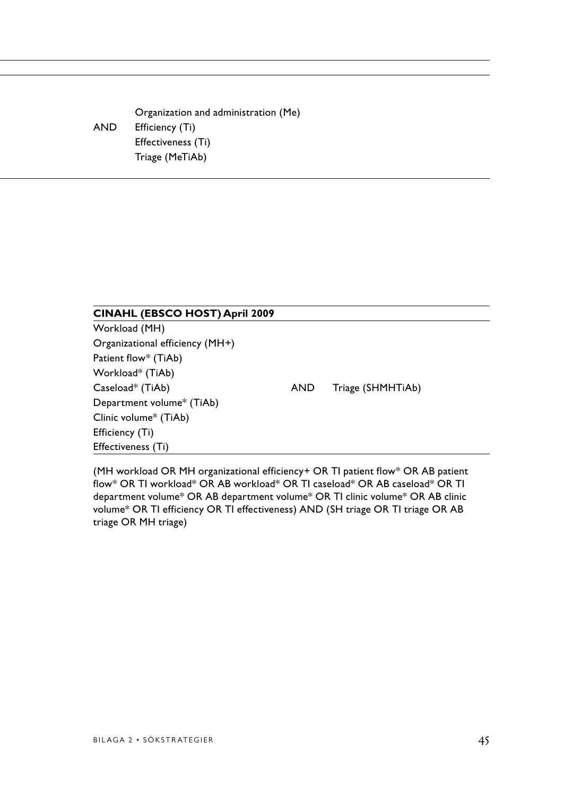Organization and administration (Me) AND Efficiency (Ti) Length of Septembergency (Ti) Effectiveness (Ti)  $\Gamma$ Triage (Me $\Gamma$ iAb)  $\Gamma$ 

### **CINAHL (EBSCO HOST) April 2009**

Workload (MH) Organizational efficiency (MH+) Patient flow\* (TiAb) Workload\* (TiAb) Caseload\* (TiAb) AND Triage (SHMHTiAb) Department volume\* (TiAb) Clinic volume\* (TiAb) Efficiency (Ti) Effectiveness (Ti)

(MH workload OR MH organizational efficiency+ OR TI patient flow\* OR AB patient flow\* OR TI workload\* OR AB workload\* OR TI caseload\* OR AB caseload\* OR TI department volume\* OR AB department volume\* OR TI clinic volume\* OR AB clinic volume\* OR TI efficiency OR TI effectiveness) AND (SH triage OR TI triage OR AB triage OR MH triage)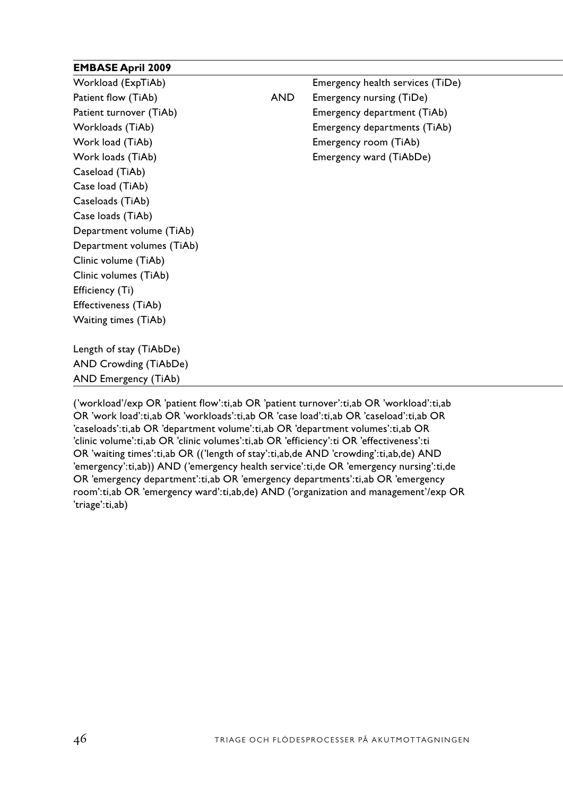# **EMBASE April 2009**

| Workload (ExpTiAb)        |            | Emergency health services (TiDe) |  |
|---------------------------|------------|----------------------------------|--|
| Patient flow (TiAb)       | <b>AND</b> | Emergency nursing (TiDe)         |  |
| Patient turnover (TiAb)   |            | Emergency department (TiAb)      |  |
| Workloads (TiAb)          |            | Emergency departments (TiAb)     |  |
| Work load (TiAb)          |            | Emergency room (TiAb)            |  |
| Work loads (TiAb)         |            | Emergency ward (TiAbDe)          |  |
| Caseload (TiAb)           |            |                                  |  |
| Case load (TiAb)          |            |                                  |  |
| Caseloads (TiAb)          |            |                                  |  |
| Case loads (TiAb)         |            |                                  |  |
| Department volume (TiAb)  |            |                                  |  |
| Department volumes (TiAb) |            |                                  |  |
| Clinic volume (TiAb)      |            |                                  |  |
| Clinic volumes (TiAb)     |            |                                  |  |
| Efficiency (Ti)           |            |                                  |  |
| Effectiveness (TiAb)      |            |                                  |  |
| Waiting times (TiAb)      |            |                                  |  |
| Length of stay (TiAbDe)   |            |                                  |  |
| AND Crowding (TiAbDe)     |            |                                  |  |
| AND Emergency (TiAb)      |            |                                  |  |

('workload'/exp OR 'patient flow':ti,ab OR 'patient turnover':ti,ab OR 'workload':ti,ab OR 'work load':ti,ab OR 'workloads':ti,ab OR 'case load':ti,ab OR 'caseload':ti,ab OR 'caseloads':ti,ab OR 'department volume':ti,ab OR 'department volumes':ti,ab OR 'clinic volume':ti,ab OR 'clinic volumes':ti,ab OR 'efficiency':ti OR 'effectiveness':ti OR 'waiting times':ti,ab OR (('length of stay':ti,ab,de AND 'crowding':ti,ab,de) AND 'emergency':ti,ab)) AND ('emergency health service':ti,de OR 'emergency nursing':ti,de OR 'emergency department':ti,ab OR 'emergency departments':ti,ab OR 'emergency room':ti,ab OR 'emergency ward':ti,ab,de) AND ('organization and management'/exp OR 'triage':ti,ab)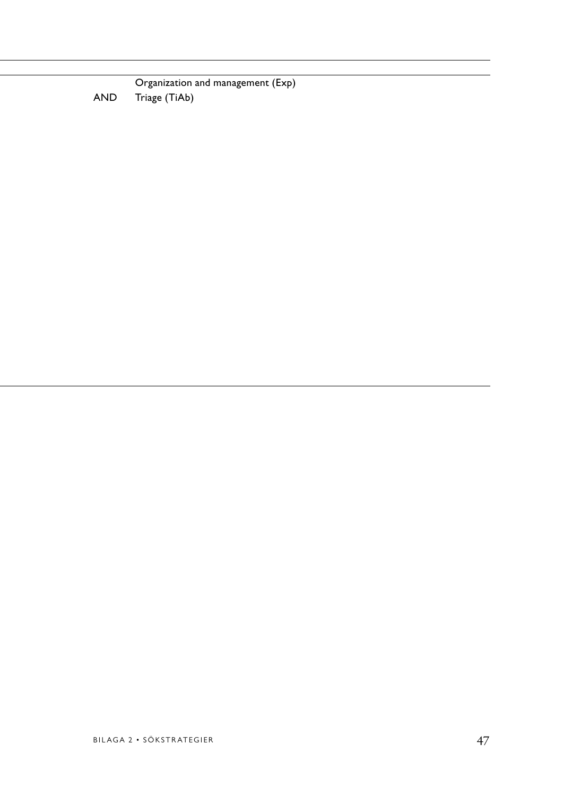Organization and management (Exp)<br>Triage (TiAb) Patient flow flow flow that find the Triage (TiAb) and Triage (TiAb)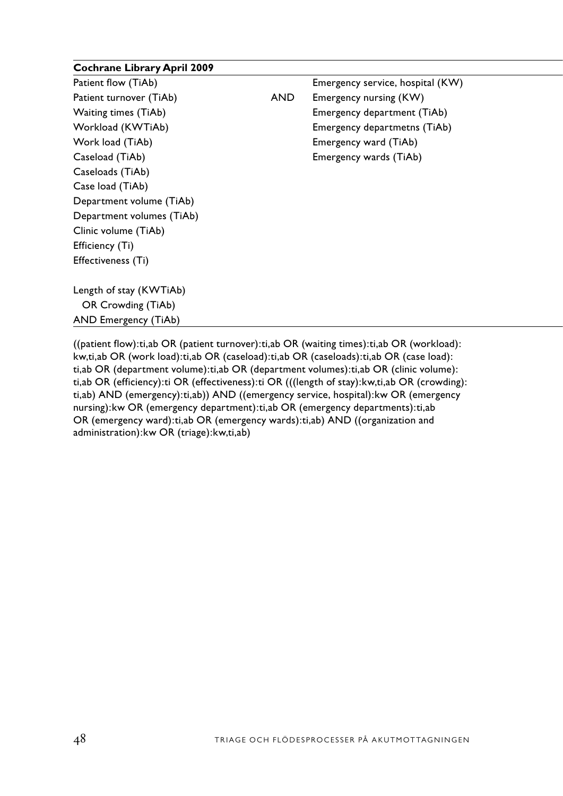| <b>Cochrane Library April 2009</b> |            |                                  |  |
|------------------------------------|------------|----------------------------------|--|
| Patient flow (TiAb)                |            | Emergency service, hospital (KW) |  |
| Patient turnover (TiAb)            | <b>AND</b> | Emergency nursing (KW)           |  |
| Waiting times (TiAb)               |            | Emergency department (TiAb)      |  |
| Workload (KWTiAb)                  |            | Emergency departmetns (TiAb)     |  |
| Work load (TiAb)                   |            | Emergency ward (TiAb)            |  |
| Caseload (TiAb)                    |            | Emergency wards (TiAb)           |  |
| Caseloads (TiAb)                   |            |                                  |  |
| Case load (TiAb)                   |            |                                  |  |
| Department volume (TiAb)           |            |                                  |  |
| Department volumes (TiAb)          |            |                                  |  |
| Clinic volume (TiAb)               |            |                                  |  |
| Efficiency (Ti)                    |            |                                  |  |
| Effectiveness (Ti)                 |            |                                  |  |
| Length of stay (KWTiAb)            |            |                                  |  |
| OR Crowding (TiAb)                 |            |                                  |  |
| AND Emergency (TiAb)               |            |                                  |  |
|                                    |            |                                  |  |

((patient flow):ti,ab OR (patient turnover):ti,ab OR (waiting times):ti,ab OR (workload): kw,ti,ab OR (work load):ti,ab OR (caseload):ti,ab OR (caseloads):ti,ab OR (case load): ti,ab OR (department volume):ti,ab OR (department volumes):ti,ab OR (clinic volume): ti,ab OR (efficiency):ti OR (effectiveness):ti OR (((length of stay):kw,ti,ab OR (crowding): ti,ab) AND (emergency):ti,ab)) AND ((emergency service, hospital):kw OR (emergency nursing):kw OR (emergency department):ti,ab OR (emergency departments):ti,ab OR (emergency ward):ti,ab OR (emergency wards):ti,ab) AND ((organization and administration):kw OR (triage):kw,ti,ab)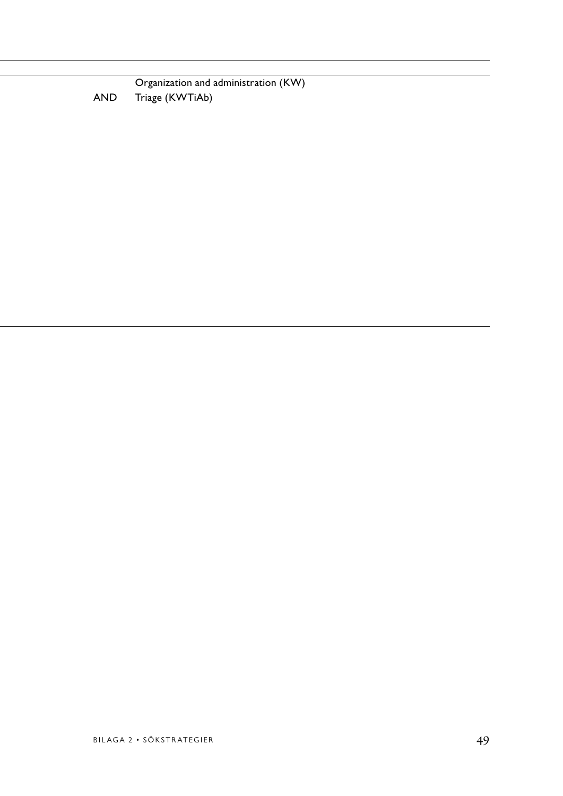**Organization and administration (KW)** AND Triage (KWTiAb)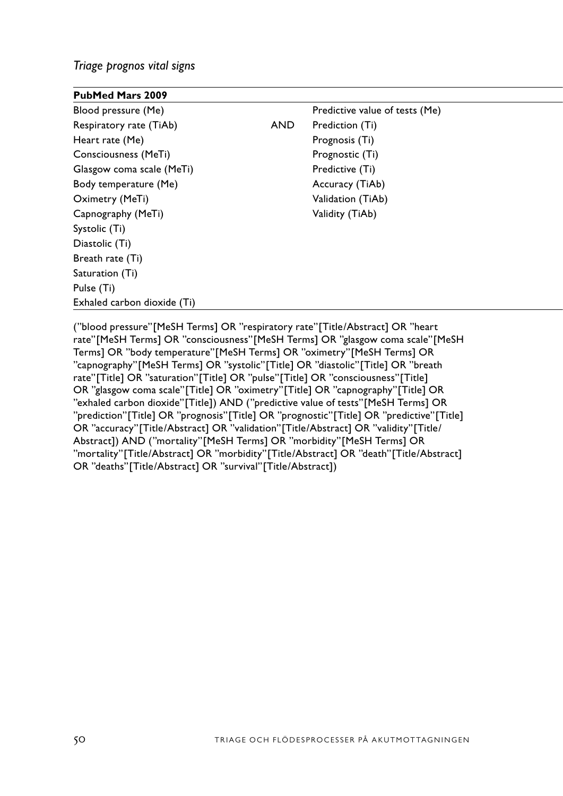*Triage prognos vital signs*

| <b>PubMed Mars 2009</b>     |            |                                |
|-----------------------------|------------|--------------------------------|
| Blood pressure (Me)         |            | Predictive value of tests (Me) |
| Respiratory rate (TiAb)     | <b>AND</b> | Prediction (Ti)                |
| Heart rate (Me)             |            | Prognosis (Ti)                 |
| Consciousness (MeTi)        |            | Prognostic (Ti)                |
| Glasgow coma scale (MeTi)   |            | Predictive (Ti)                |
| Body temperature (Me)       |            | Accuracy (TiAb)                |
| Oximetry (MeTi)             |            | Validation (TiAb)              |
| Capnography (MeTi)          |            | Validity (TiAb)                |
| Systolic (Ti)               |            |                                |
| Diastolic (Ti)              |            |                                |
| Breath rate (Ti)            |            |                                |
| Saturation (Ti)             |            |                                |
| Pulse (Ti)                  |            |                                |
| Exhaled carbon dioxide (Ti) |            |                                |

("blood pressure"[MeSH Terms] OR "respiratory rate"[Title/Abstract] OR "heart rate"[MeSH Terms] OR "consciousness"[MeSH Terms] OR "glasgow coma scale"[MeSH Terms] OR "body temperature"[MeSH Terms] OR "oximetry"[MeSH Terms] OR "capnography"[MeSH Terms] OR "systolic"[Title] OR "diastolic"[Title] OR "breath rate"[Title] OR "saturation"[Title] OR "pulse"[Title] OR "consciousness"[Title] OR "glasgow coma scale"[Title] OR "oximetry"[Title] OR "capnography"[Title] OR "exhaled carbon dioxide"[Title]) AND ("predictive value of tests"[MeSH Terms] OR "prediction"[Title] OR "prognosis"[Title] OR "prognostic"[Title] OR "predictive"[Title] OR "accuracy"[Title/Abstract] OR "validation"[Title/Abstract] OR "validity"[Title/ Abstract]) AND ("mortality"[MeSH Terms] OR "morbidity"[MeSH Terms] OR "mortality"[Title/Abstract] OR "morbidity"[Title/Abstract] OR "death"[Title/Abstract] OR "deaths"[Title/Abstract] OR "survival"[Title/Abstract])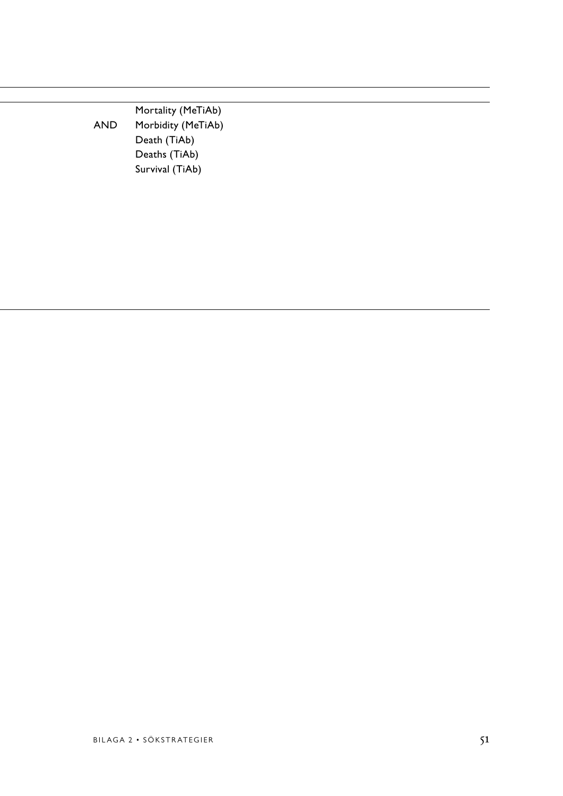Mortality (MeTiAb) AND Morbidity (MeTiAb) Hearth (TiAb) Program (TiAb)  $\overline{\text{Deaths (TiAb)}}$ Glasgow coma scale (MeTiAb) Predictive (TiAb)  $\rho$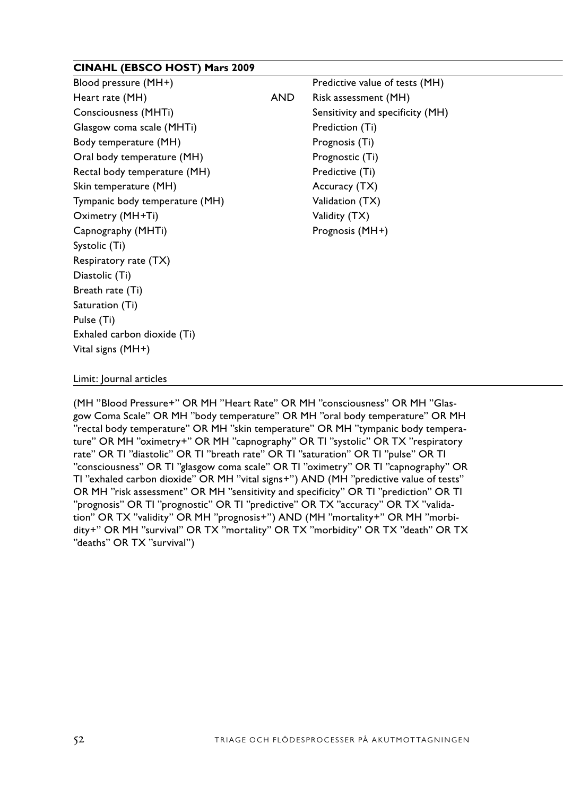# **CINAHL (EBSCO HOST) Mars 2009**

| Blood pressure (MH+)           |            | Predictive value of tests (MH)   |  |
|--------------------------------|------------|----------------------------------|--|
| Heart rate (MH)                | <b>AND</b> | Risk assessment (MH)             |  |
| Consciousness (MHTi)           |            | Sensitivity and specificity (MH) |  |
| Glasgow coma scale (MHTi)      |            | Prediction (Ti)                  |  |
| Body temperature (MH)          |            | Prognosis (Ti)                   |  |
| Oral body temperature (MH)     |            | Prognostic (Ti)                  |  |
| Rectal body temperature (MH)   |            | Predictive (Ti)                  |  |
| Skin temperature (MH)          |            | Accuracy (TX)                    |  |
| Tympanic body temperature (MH) |            | Validation (TX)                  |  |
| Oximetry (MH+Ti)               |            | Validity (TX)                    |  |
| Capnography (MHTi)             |            | Prognosis (MH+)                  |  |
| Systolic (Ti)                  |            |                                  |  |
| Respiratory rate (TX)          |            |                                  |  |
| Diastolic (Ti)                 |            |                                  |  |
| Breath rate (Ti)               |            |                                  |  |
| Saturation (Ti)                |            |                                  |  |
| Pulse (Ti)                     |            |                                  |  |
| Exhaled carbon dioxide (Ti)    |            |                                  |  |
| Vital signs (MH+)              |            |                                  |  |

#### Limit: Journal articles

(MH "Blood Pressure+" OR MH "Heart Rate" OR MH "consciousness" OR MH "Glasgow Coma Scale" OR MH "body temperature" OR MH "oral body temperature" OR MH "rectal body temperature" OR MH "skin temperature" OR MH "tympanic body temperature" OR MH "oximetry+" OR MH "capnography" OR TI "systolic" OR TX "respiratory rate" OR TI "diastolic" OR TI "breath rate" OR TI "saturation" OR TI "pulse" OR TI "consciousness" OR TI "glasgow coma scale" OR TI "oximetry" OR TI "capnography" OR TI "exhaled carbon dioxide" OR MH "vital signs+") AND (MH "predictive value of tests" OR MH "risk assessment" OR MH "sensitivity and specificity" OR TI "prediction" OR TI "prognosis" OR TI "prognostic" OR TI "predictive" OR TX "accuracy" OR TX "validation" OR TX "validity" OR MH "prognosis+") AND (MH "mortality+" OR MH "morbidity+" OR MH "survival" OR TX "mortality" OR TX "morbidity" OR TX "death" OR TX "deaths" OR TX "survival")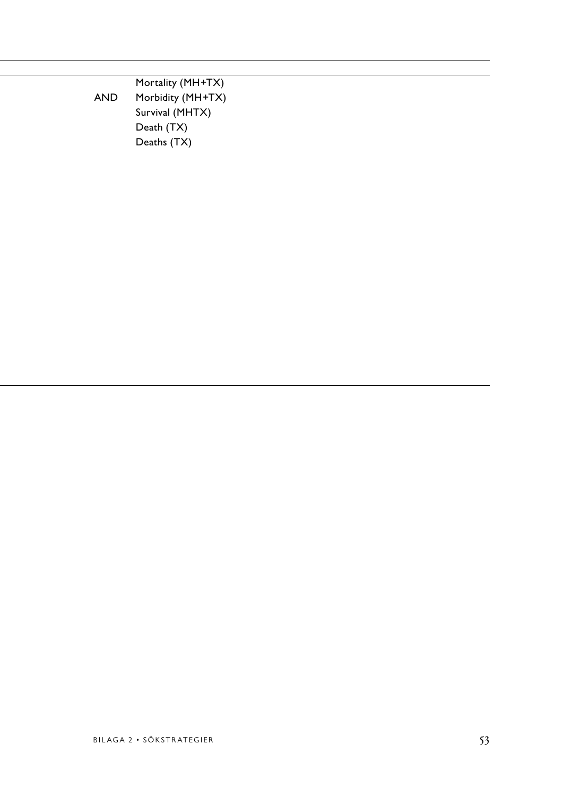**Mortality (MH+TX)** AND Morbidity (MH+TX) Survival (MHTX)  $\mathsf{Death}\ (\mathsf{T} \mathsf{X})$  $\mathsf{Deaths}\ (\mathsf{T} \mathsf{X})$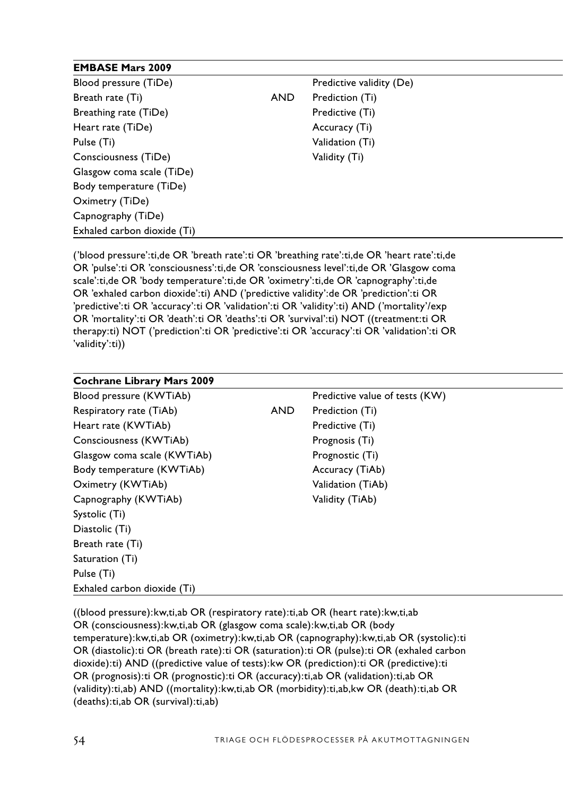# **EMBASE Mars 2009**

| Blood pressure (TiDe)       |            | Predictive validity (De) |
|-----------------------------|------------|--------------------------|
| Breath rate (Ti)            | <b>AND</b> | Prediction (Ti)          |
| Breathing rate (TiDe)       |            | Predictive (Ti)          |
| Heart rate (TiDe)           |            | Accuracy (Ti)            |
| Pulse (Ti)                  |            | Validation (Ti)          |
| Consciousness (TiDe)        |            | Validity (Ti)            |
| Glasgow coma scale (TiDe)   |            |                          |
| Body temperature (TiDe)     |            |                          |
| Oximetry (TiDe)             |            |                          |
| Capnography (TiDe)          |            |                          |
| Exhaled carbon dioxide (Ti) |            |                          |

('blood pressure':ti,de OR 'breath rate':ti OR 'breathing rate':ti,de OR 'heart rate':ti,de OR 'pulse':ti OR 'consciousness':ti,de OR 'consciousness level':ti,de OR 'Glasgow coma scale':ti,de OR 'body temperature':ti,de OR 'oximetry':ti,de OR 'capnography':ti,de OR 'exhaled carbon dioxide':ti) AND ('predictive validity':de OR 'prediction':ti OR 'predictive':ti OR 'accuracy':ti OR 'validation':ti OR 'validity':ti) AND ('mortality'/exp OR 'mortality':ti OR 'death':ti OR 'deaths':ti OR 'survival':ti) NOT ((treatment:ti OR therapy:ti) NOT ('prediction':ti OR 'predictive':ti OR 'accuracy':ti OR 'validation':ti OR 'validity':ti))

| <b>Cochrane Library Mars 2009</b> |     |                                |
|-----------------------------------|-----|--------------------------------|
| Blood pressure (KWTiAb)           |     | Predictive value of tests (KW) |
| Respiratory rate (TiAb)           | AND | Prediction (Ti)                |
| Heart rate (KWTiAb)               |     | Predictive (Ti)                |
| Consciousness (KWTiAb)            |     | Prognosis (Ti)                 |
| Glasgow coma scale (KWTiAb)       |     | Prognostic (Ti)                |
| Body temperature (KWTiAb)         |     | Accuracy (TiAb)                |
| Oximetry (KWTiAb)                 |     | Validation (TiAb)              |
| Capnography (KWTiAb)              |     | Validity (TiAb)                |
| Systolic (Ti)                     |     |                                |
| Diastolic (Ti)                    |     |                                |
| Breath rate (Ti)                  |     |                                |
| Saturation (Ti)                   |     |                                |
| Pulse (Ti)                        |     |                                |
| Exhaled carbon dioxide (Ti)       |     |                                |

((blood pressure):kw,ti,ab OR (respiratory rate):ti,ab OR (heart rate):kw,ti,ab OR (consciousness):kw,ti,ab OR (glasgow coma scale):kw,ti,ab OR (body temperature):kw,ti,ab OR (oximetry):kw,ti,ab OR (capnography):kw,ti,ab OR (systolic):ti OR (diastolic):ti OR (breath rate):ti OR (saturation):ti OR (pulse):ti OR (exhaled carbon dioxide):ti) AND ((predictive value of tests):kw OR (prediction):ti OR (predictive):ti OR (prognosis):ti OR (prognostic):ti OR (accuracy):ti,ab OR (validation):ti,ab OR (validity):ti,ab) AND ((mortality):kw,ti,ab OR (morbidity):ti,ab,kw OR (death):ti,ab OR (deaths):ti,ab OR (survival):ti,ab)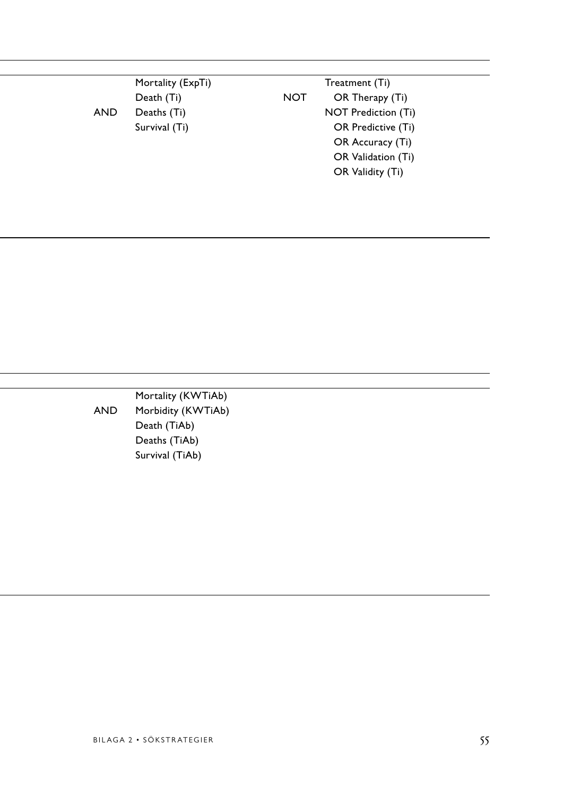|     | Mortality (ExpTi)        | Treatment (Ti)      |
|-----|--------------------------|---------------------|
|     | <b>NOT</b><br>Death (Ti) | OR Therapy (Ti)     |
| AND | Deaths (Ti)              | NOT Prediction (Ti) |
|     | Survival (Ti)            | OR Predictive (Ti)  |
|     |                          | OR Accuracy (Ti)    |
|     |                          | OR Validation (Ti)  |
|     |                          | OR Validity (Ti)    |
|     |                          |                     |
|     |                          |                     |

Mortality (KWTiAb) AND Morbidity (KWTiAb)<br>Death (TiAb) Hearth (TiAb) Predictive Cheath (TiAb) Constitution of the Deaths (TiAb) Program of the Deaths (TiAb) Glasgow coma scale (TiAb) Program scale (TiAb)  $\rho$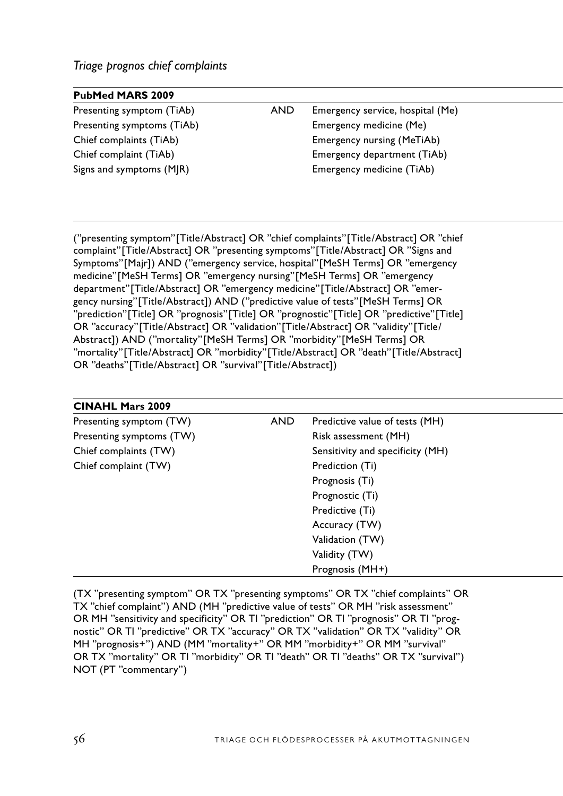| <b>PubMed MARS 2009</b>    |     |                                   |
|----------------------------|-----|-----------------------------------|
| Presenting symptom (TiAb)  | AND | Emergency service, hospital (Me)  |
| Presenting symptoms (TiAb) |     | Emergency medicine (Me)           |
| Chief complaints (TiAb)    |     | <b>Emergency nursing (MeTiAb)</b> |
| Chief complaint (TiAb)     |     | Emergency department (TiAb)       |
| Signs and symptoms (MJR)   |     | Emergency medicine (TiAb)         |
|                            |     |                                   |

("presenting symptom"[Title/Abstract] OR "chief complaints"[Title/Abstract] OR "chief complaint"[Title/Abstract] OR "presenting symptoms"[Title/Abstract] OR "Signs and Symptoms"[Majr]) AND ("emergency service, hospital"[MeSH Terms] OR "emergency medicine"[MeSH Terms] OR "emergency nursing"[MeSH Terms] OR "emergency department"[Title/Abstract] OR "emergency medicine"[Title/Abstract] OR "emergency nursing"[Title/Abstract]) AND ("predictive value of tests"[MeSH Terms] OR "prediction"[Title] OR "prognosis"[Title] OR "prognostic"[Title] OR "predictive"[Title] OR "accuracy"[Title/Abstract] OR "validation"[Title/Abstract] OR "validity"[Title/ Abstract]) AND ("mortality"[MeSH Terms] OR "morbidity"[MeSH Terms] OR "mortality"[Title/Abstract] OR "morbidity"[Title/Abstract] OR "death"[Title/Abstract] OR "deaths"[Title/Abstract] OR "survival"[Title/Abstract])

| <b>AND</b> | Predictive value of tests (MH)   |
|------------|----------------------------------|
|            | Risk assessment (MH)             |
|            | Sensitivity and specificity (MH) |
|            | Prediction (Ti)                  |
|            | Prognosis (Ti)                   |
|            | Prognostic (Ti)                  |
|            | Predictive (Ti)                  |
|            | Accuracy (TW)                    |
|            | Validation (TW)                  |
|            | Validity (TW)                    |
|            | Prognosis (MH+)                  |
|            |                                  |

(TX "presenting symptom" OR TX "presenting symptoms" OR TX "chief complaints" OR TX "chief complaint") AND (MH "predictive value of tests" OR MH "risk assessment" OR MH "sensitivity and specificity" OR TI "prediction" OR TI "prognosis" OR TI "prognostic" OR TI "predictive" OR TX "accuracy" OR TX "validation" OR TX "validity" OR MH "prognosis+") AND (MM "mortality+" OR MM "morbidity+" OR MM "survival" OR TX "mortality" OR TI "morbidity" OR TI "death" OR TI "deaths" OR TX "survival") NOT (PT "commentary")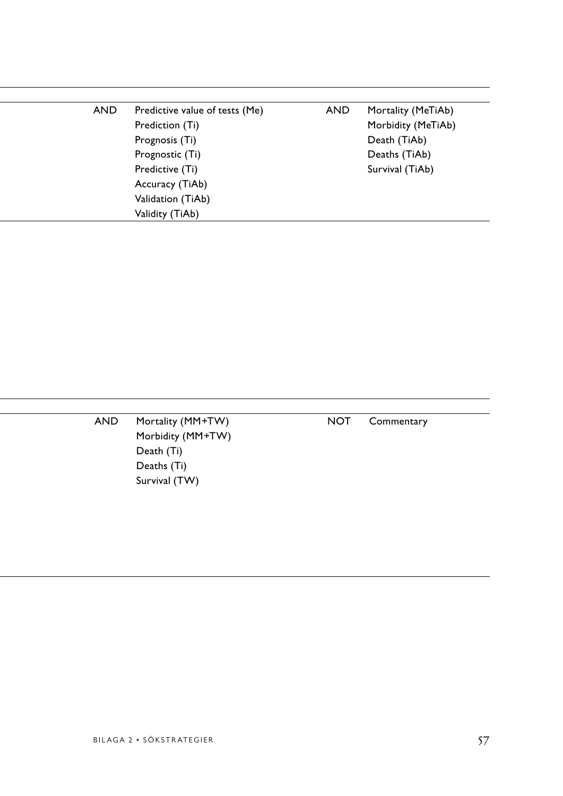| <b>AND</b> | Predictive value of tests (Me) | Mortality (MeTiAb) |
|------------|--------------------------------|--------------------|
|            | Prediction (Ti)                | Morbidity (MeTiAb) |
|            | Prognosis (Ti)                 | Death (TiAb)       |
|            | Prognostic (Ti)                | Deaths (TiAb)      |
|            | Predictive (Ti)                | Survival (TiAb)    |
|            | Accuracy (TiAb)                |                    |
|            | Validation (TiAb)              |                    |
|            | Validity (TiAb)                |                    |

| AND | Mortality (MM+TW) | <b>NOT</b> | Commentary |
|-----|-------------------|------------|------------|
|     | Morbidity (MM+TW) |            |            |
|     | Death (Ti)        |            |            |
|     | Deaths (Ti)       |            |            |
|     | Survival (TW)     |            |            |
|     |                   |            |            |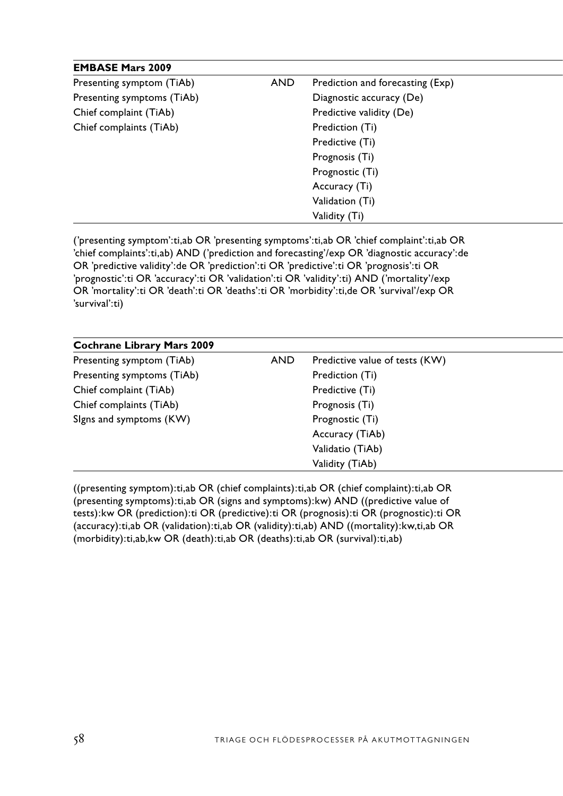| <b>EMBASE Mars 2009</b>    |            |                                  |
|----------------------------|------------|----------------------------------|
| Presenting symptom (TiAb)  | <b>AND</b> | Prediction and forecasting (Exp) |
| Presenting symptoms (TiAb) |            | Diagnostic accuracy (De)         |
| Chief complaint (TiAb)     |            | Predictive validity (De)         |
| Chief complaints (TiAb)    |            | Prediction (Ti)                  |
|                            |            | Predictive (Ti)                  |
|                            |            | Prognosis (Ti)                   |
|                            |            | Prognostic (Ti)                  |
|                            |            | Accuracy (Ti)                    |
|                            |            | Validation (Ti)                  |
|                            |            | Validity (Ti)                    |

('presenting symptom':ti,ab OR 'presenting symptoms':ti,ab OR 'chief complaint':ti,ab OR 'chief complaints':ti,ab) AND ('prediction and forecasting'/exp OR 'diagnostic accuracy':de OR 'predictive validity':de OR 'prediction':ti OR 'predictive':ti OR 'prognosis':ti OR 'prognostic':ti OR 'accuracy':ti OR 'validation':ti OR 'validity':ti) AND ('mortality'/exp OR 'mortality':ti OR 'death':ti OR 'deaths':ti OR 'morbidity':ti,de OR 'survival'/exp OR 'survival':ti)

| <b>Cochrane Library Mars 2009</b> |            |                                |
|-----------------------------------|------------|--------------------------------|
| Presenting symptom (TiAb)         | <b>AND</b> | Predictive value of tests (KW) |
| Presenting symptoms (TiAb)        |            | Prediction (Ti)                |
| Chief complaint (TiAb)            |            | Predictive (Ti)                |
| Chief complaints (TiAb)           |            | Prognosis (Ti)                 |
| Signs and symptoms (KW)           |            | Prognostic (Ti)                |
|                                   |            | Accuracy (TiAb)                |
|                                   |            | Validatio (TiAb)               |
|                                   |            | Validity (TiAb)                |
|                                   |            |                                |

((presenting symptom):ti,ab OR (chief complaints):ti,ab OR (chief complaint):ti,ab OR (presenting symptoms):ti,ab OR (signs and symptoms):kw) AND ((predictive value of tests):kw OR (prediction):ti OR (predictive):ti OR (prognosis):ti OR (prognostic):ti OR (accuracy):ti,ab OR (validation):ti,ab OR (validity):ti,ab) AND ((mortality):kw,ti,ab OR (morbidity):ti,ab,kw OR (death):ti,ab OR (deaths):ti,ab OR (survival):ti,ab)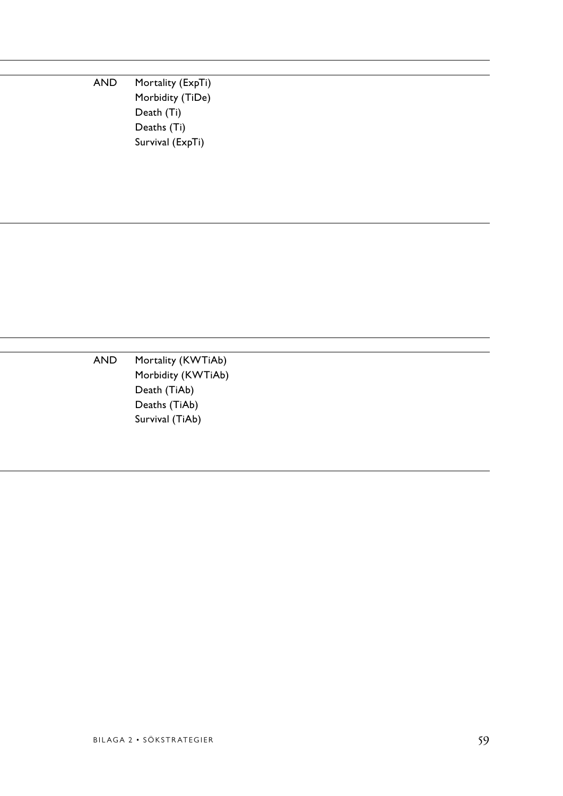AND Mortality (ExpTi) Morbidity (TiDe)  $\mathsf{Death} \mathsf{(Ti)}$  $\mathsf{Deaths}\ (\mathsf{Ti})$ Survival (ExpTi)

AND Mortality (KWTiAb) Morbidity (KWTiAb) Chief complete (TiAb) Preath (TiAb) Chief complete complete complete complete  $D$  eaths (TiAb) Survival (TiAb) جو Survival (TiAb)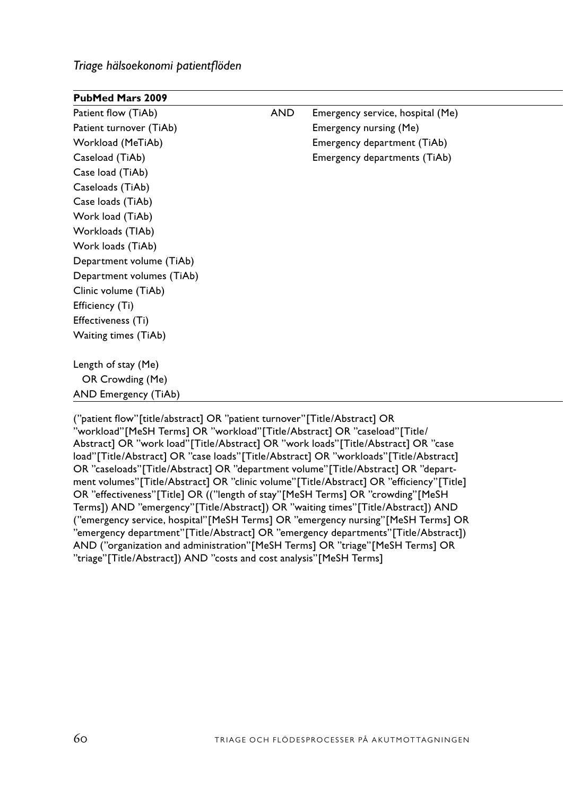*Triage hälsoekonomi patientflöden*

| <b>PubMed Mars 2009</b>   |     |                                  |
|---------------------------|-----|----------------------------------|
| Patient flow (TiAb)       | AND | Emergency service, hospital (Me) |
| Patient turnover (TiAb)   |     | Emergency nursing (Me)           |
| Workload (MeTiAb)         |     | Emergency department (TiAb)      |
| Caseload (TiAb)           |     | Emergency departments (TiAb)     |
| Case load (TiAb)          |     |                                  |
| Caseloads (TiAb)          |     |                                  |
| Case loads (TiAb)         |     |                                  |
| Work load (TiAb)          |     |                                  |
| Workloads (TIAb)          |     |                                  |
| Work loads (TiAb)         |     |                                  |
| Department volume (TiAb)  |     |                                  |
| Department volumes (TiAb) |     |                                  |
| Clinic volume (TiAb)      |     |                                  |
| Efficiency (Ti)           |     |                                  |
| Effectiveness (Ti)        |     |                                  |
| Waiting times (TiAb)      |     |                                  |
|                           |     |                                  |
| Length of stay (Me)       |     |                                  |
| OR Crowding (Me)          |     |                                  |
| AND Emergency (TiAb)      |     |                                  |

("patient flow"[title/abstract] OR "patient turnover"[Title/Abstract] OR "workload"[MeSH Terms] OR "workload"[Title/Abstract] OR "caseload"[Title/ Abstract] OR "work load"[Title/Abstract] OR "work loads"[Title/Abstract] OR "case load"[Title/Abstract] OR "case loads"[Title/Abstract] OR "workloads"[Title/Abstract] OR "caseloads"[Title/Abstract] OR "department volume"[Title/Abstract] OR "department volumes"[Title/Abstract] OR "clinic volume"[Title/Abstract] OR "efficiency"[Title] OR "effectiveness"[Title] OR (("length of stay"[MeSH Terms] OR "crowding"[MeSH Terms]) AND "emergency"[Title/Abstract]) OR "waiting times"[Title/Abstract]) AND ("emergency service, hospital"[MeSH Terms] OR "emergency nursing"[MeSH Terms] OR "emergency department"[Title/Abstract] OR "emergency departments"[Title/Abstract]) AND ("organization and administration"[MeSH Terms] OR "triage"[MeSH Terms] OR "triage"[Title/Abstract]) AND "costs and cost analysis"[MeSH Terms]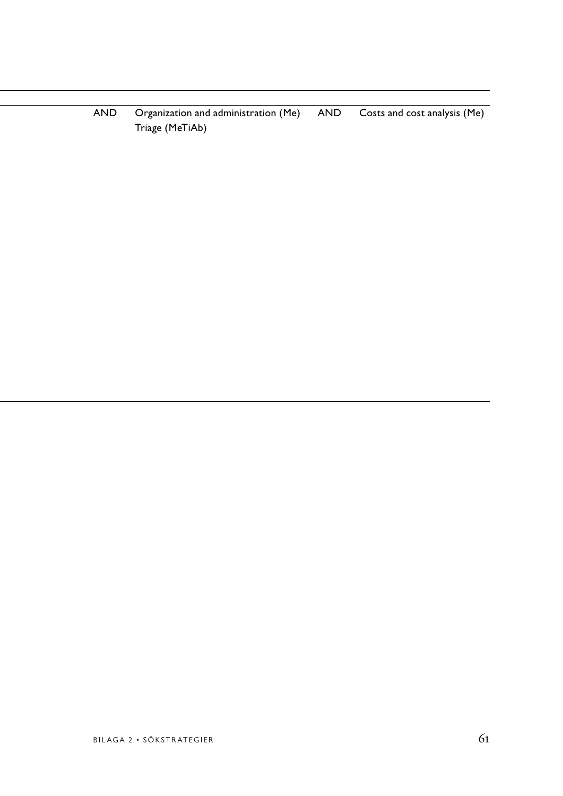AND Organization and administration (Me) AND Costs and cost analysis (Me) Triage (MeTiAb)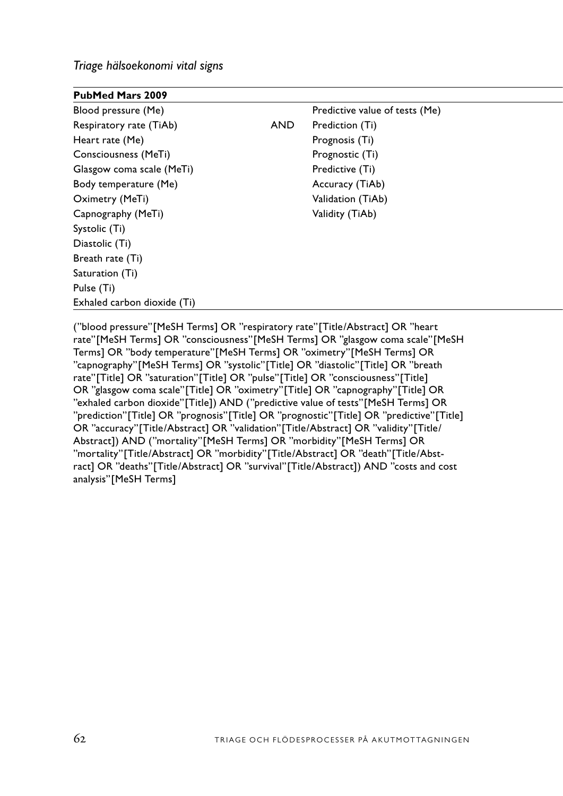*Triage hälsoekonomi vital signs*

| PubMed Mars 2009            |     |                                |
|-----------------------------|-----|--------------------------------|
| Blood pressure (Me)         |     | Predictive value of tests (Me) |
| Respiratory rate (TiAb)     | AND | Prediction (Ti)                |
| Heart rate (Me)             |     | Prognosis (Ti)                 |
| Consciousness (MeTi)        |     | Prognostic (Ti)                |
| Glasgow coma scale (MeTi)   |     | Predictive (Ti)                |
| Body temperature (Me)       |     | Accuracy (TiAb)                |
| Oximetry (MeTi)             |     | Validation (TiAb)              |
| Capnography (MeTi)          |     | Validity (TiAb)                |
| Systolic (Ti)               |     |                                |
| Diastolic (Ti)              |     |                                |
| Breath rate (Ti)            |     |                                |
| Saturation (Ti)             |     |                                |
| Pulse (Ti)                  |     |                                |
| Exhaled carbon dioxide (Ti) |     |                                |

("blood pressure"[MeSH Terms] OR "respiratory rate"[Title/Abstract] OR "heart rate"[MeSH Terms] OR "consciousness"[MeSH Terms] OR "glasgow coma scale"[MeSH Terms] OR "body temperature"[MeSH Terms] OR "oximetry"[MeSH Terms] OR "capnography"[MeSH Terms] OR "systolic"[Title] OR "diastolic"[Title] OR "breath rate"[Title] OR "saturation"[Title] OR "pulse"[Title] OR "consciousness"[Title] OR "glasgow coma scale"[Title] OR "oximetry"[Title] OR "capnography"[Title] OR "exhaled carbon dioxide"[Title]) AND ("predictive value of tests"[MeSH Terms] OR "prediction"[Title] OR "prognosis"[Title] OR "prognostic"[Title] OR "predictive"[Title] OR "accuracy"[Title/Abstract] OR "validation"[Title/Abstract] OR "validity"[Title/ Abstract]) AND ("mortality"[MeSH Terms] OR "morbidity"[MeSH Terms] OR "mortality"[Title/Abstract] OR "morbidity"[Title/Abstract] OR "death"[Title/Abstract] OR "deaths"[Title/Abstract] OR "survival"[Title/Abstract]) AND "costs and cost analysis"[MeSH Terms]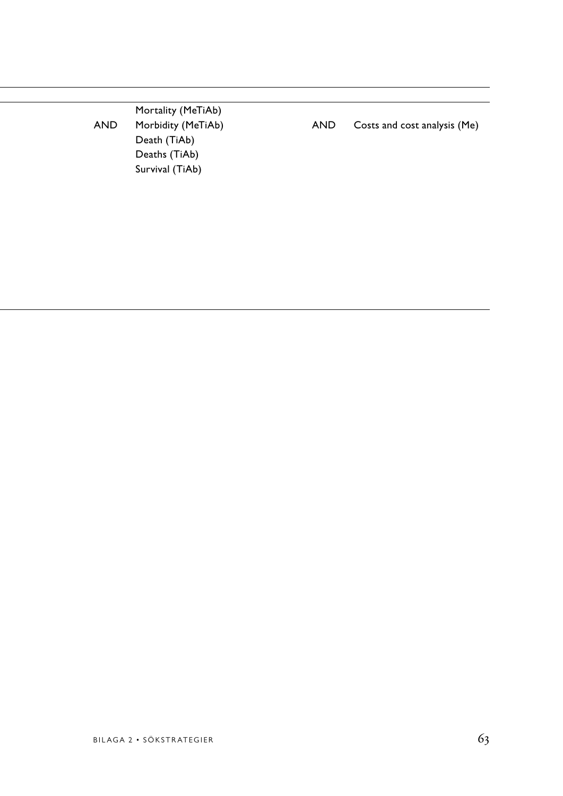| <b>AND</b> | Mortality (MeTiAb)<br>Morbidity (MeTiAb)<br>Death (TiAb) | <b>AND</b> | Costs and cost analysis (Me) |
|------------|----------------------------------------------------------|------------|------------------------------|
|            | Deaths (TiAb)                                            |            |                              |
|            | Survival (TiAb)                                          |            |                              |
|            |                                                          |            |                              |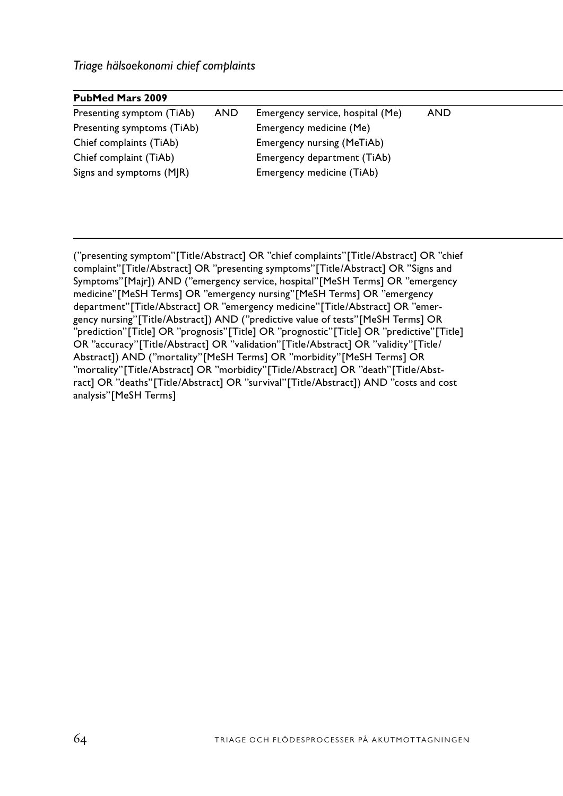| <b>PubMed Mars 2009</b>    |     |                                  |     |
|----------------------------|-----|----------------------------------|-----|
| Presenting symptom (TiAb)  | AND | Emergency service, hospital (Me) | AND |
| Presenting symptoms (TiAb) |     | Emergency medicine (Me)          |     |
| Chief complaints (TiAb)    |     | Emergency nursing (MeTiAb)       |     |
| Chief complaint (TiAb)     |     | Emergency department (TiAb)      |     |
| Signs and symptoms (MJR)   |     | Emergency medicine (TiAb)        |     |
|                            |     |                                  |     |

("presenting symptom"[Title/Abstract] OR "chief complaints"[Title/Abstract] OR "chief complaint"[Title/Abstract] OR "presenting symptoms"[Title/Abstract] OR "Signs and Symptoms"[Majr]) AND ("emergency service, hospital"[MeSH Terms] OR "emergency medicine"[MeSH Terms] OR "emergency nursing"[MeSH Terms] OR "emergency department"[Title/Abstract] OR "emergency medicine"[Title/Abstract] OR "emergency nursing"[Title/Abstract]) AND ("predictive value of tests"[MeSH Terms] OR "prediction"[Title] OR "prognosis"[Title] OR "prognostic"[Title] OR "predictive"[Title] OR "accuracy"[Title/Abstract] OR "validation"[Title/Abstract] OR "validity"[Title/ Abstract]) AND ("mortality"[MeSH Terms] OR "morbidity"[MeSH Terms] OR "mortality"[Title/Abstract] OR "morbidity"[Title/Abstract] OR "death"[Title/Abstract] OR "deaths"[Title/Abstract] OR "survival"[Title/Abstract]) AND "costs and cost analysis"[MeSH Terms]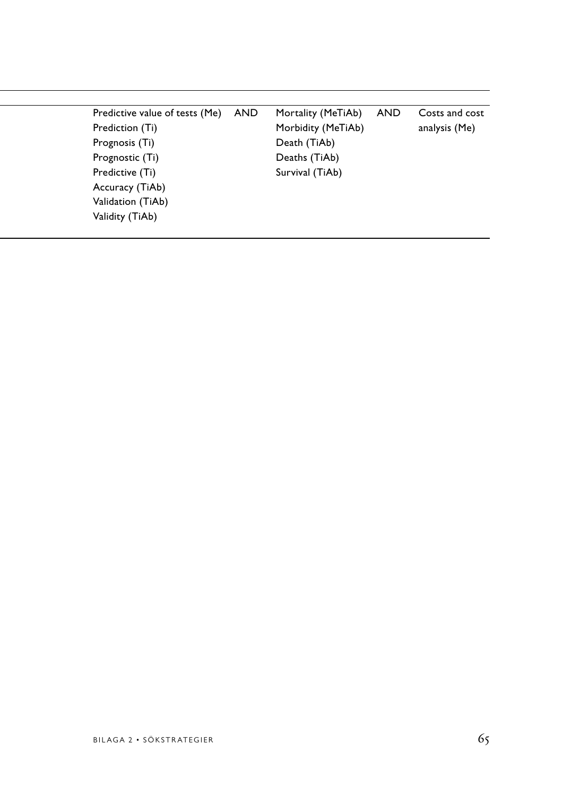| Predictive value of tests (Me) | AND | Mortality (MeTiAb) | <b>AND</b> | Costs and cost |
|--------------------------------|-----|--------------------|------------|----------------|
| Prediction (Ti)                |     | Morbidity (MeTiAb) |            | analysis (Me)  |
| Prognosis (Ti)                 |     | Death (TiAb)       |            |                |
| Prognostic (Ti)                |     | Deaths (TiAb)      |            |                |
| Predictive (Ti)                |     | Survival (TiAb)    |            |                |
| Accuracy (TiAb)                |     |                    |            |                |
| Validation (TiAb)              |     |                    |            |                |
| Validity (TiAb)                |     |                    |            |                |
|                                |     |                    |            |                |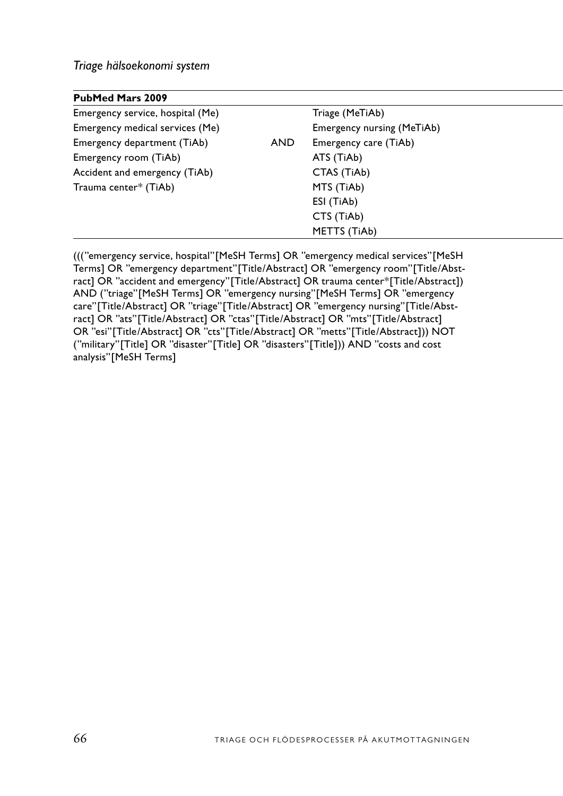# *Triage hälsoekonomi system*

| <b>PubMed Mars 2009</b>          |            |                            |
|----------------------------------|------------|----------------------------|
| Emergency service, hospital (Me) |            | Triage (MeTiAb)            |
| Emergency medical services (Me)  |            | Emergency nursing (MeTiAb) |
| Emergency department (TiAb)      | <b>AND</b> | Emergency care (TiAb)      |
| Emergency room (TiAb)            |            | ATS (TiAb)                 |
| Accident and emergency (TiAb)    |            | CTAS (TiAb)                |
| Trauma center* (TiAb)            |            | MTS (TiAb)                 |
|                                  |            | ESI (TiAb)                 |
|                                  |            | CTS (TiAb)                 |
|                                  |            | METTS (TiAb)               |

((("emergency service, hospital"[MeSH Terms] OR "emergency medical services"[MeSH Terms] OR "emergency department"[Title/Abstract] OR "emergency room"[Title/Abstract] OR "accident and emergency"[Title/Abstract] OR trauma center\*[Title/Abstract]) AND ("triage"[MeSH Terms] OR "emergency nursing"[MeSH Terms] OR "emergency care"[Title/Abstract] OR "triage"[Title/Abstract] OR "emergency nursing"[Title/Abstract] OR "ats"[Title/Abstract] OR "ctas"[Title/Abstract] OR "mts"[Title/Abstract] OR "esi"[Title/Abstract] OR "cts"[Title/Abstract] OR "metts"[Title/Abstract])) NOT ("military"[Title] OR "disaster"[Title] OR "disasters"[Title])) AND "costs and cost analysis"[MeSH Terms]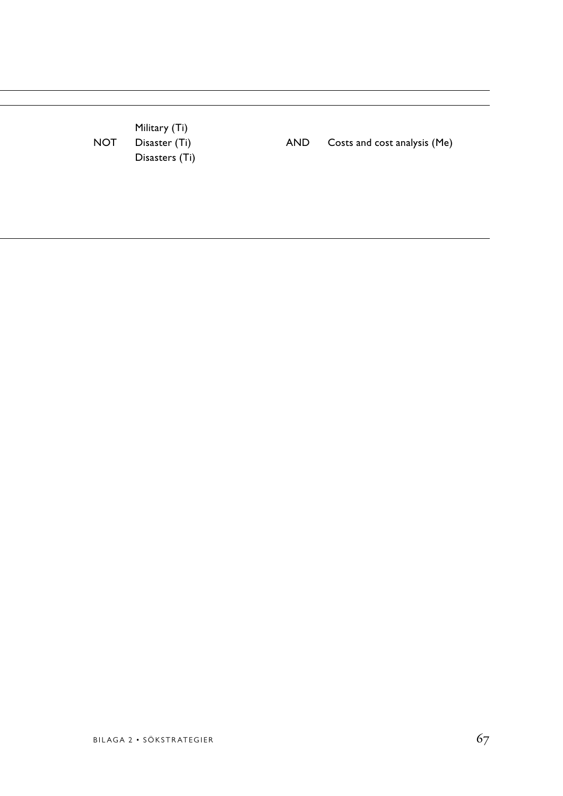Emergency medical services (Me) Emergency nursing (MeTiAb) Military (Ti) Emergency room (Ti) Disasters (Ti)

NOT Disaster (Ti) AND Costs and cost analysis (Me)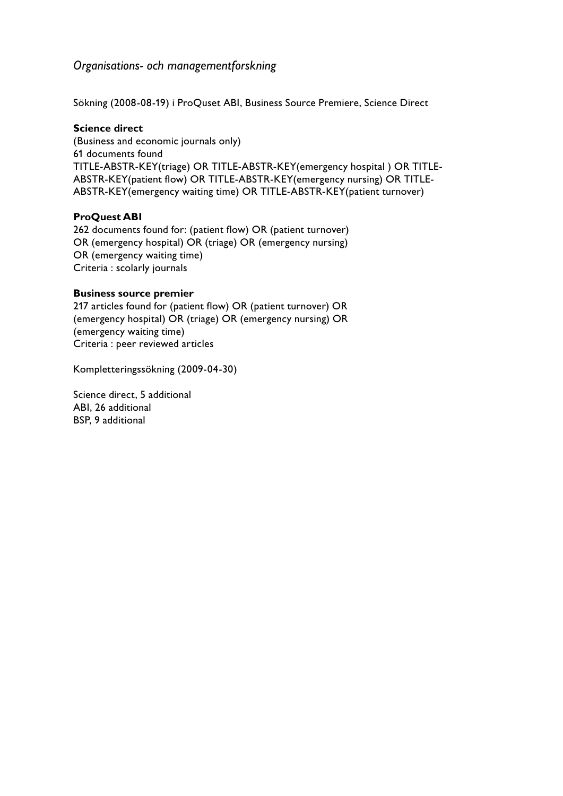# *Organisations- och managementforskning*

Sökning (2008-08-19) i ProQuset ABI, Business Source Premiere, Science Direct

#### **Science direct**

(Business and economic journals only) 61 documents found TITLE-ABSTR-KEY(triage) OR TITLE-ABSTR-KEY(emergency hospital ) OR TITLE-ABSTR-KEY(patient flow) OR TITLE-ABSTR-KEY(emergency nursing) OR TITLE-ABSTR-KEY(emergency waiting time) OR TITLE-ABSTR-KEY(patient turnover)

#### **ProQuest ABI**

262 documents found for: (patient flow) OR (patient turnover) OR (emergency hospital) OR (triage) OR (emergency nursing) OR (emergency waiting time) Criteria : scolarly journals

#### **Business source premier**

217 articles found for (patient flow) OR (patient turnover) OR (emergency hospital) OR (triage) OR (emergency nursing) OR (emergency waiting time) Criteria : peer reviewed articles

Kompletteringssökning (2009-04-30)

Science direct, 5 additional ABI, 26 additional BSP, 9 additional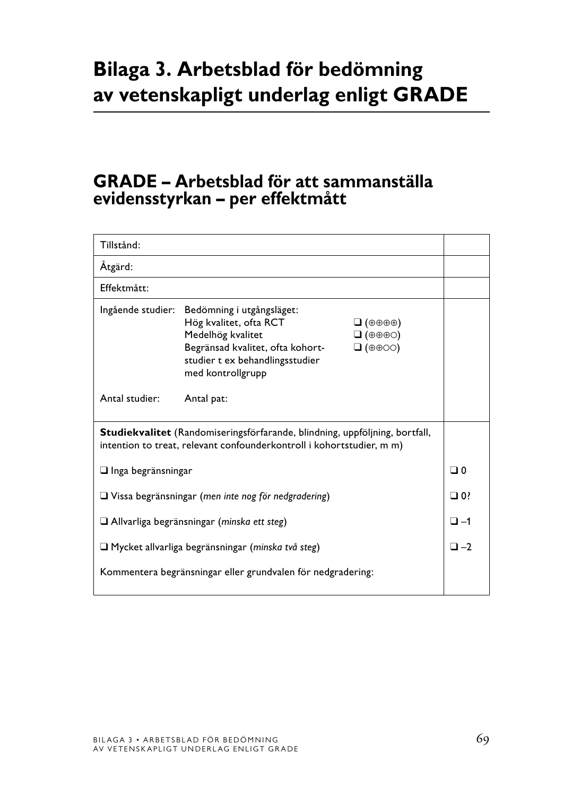# **Bilaga 3. Arbetsblad för bedömning av vetenskapligt underlag enligt GRADE**

# **GRADE – Arbetsblad för att sammanställa evidensstyrkan – per effektmått**

| Tillstånd:                                                                                                                                           |                                                                                                                                                                                        |                                                                                                                |                |
|------------------------------------------------------------------------------------------------------------------------------------------------------|----------------------------------------------------------------------------------------------------------------------------------------------------------------------------------------|----------------------------------------------------------------------------------------------------------------|----------------|
| Åtgärd:                                                                                                                                              |                                                                                                                                                                                        |                                                                                                                |                |
| Effektmått:                                                                                                                                          |                                                                                                                                                                                        |                                                                                                                |                |
|                                                                                                                                                      | Ingående studier: Bedömning i utgångsläget:<br>Hög kvalitet, ofta RCT<br>Medelhög kvalitet<br>Begränsad kvalitet, ofta kohort-<br>studier t ex behandlingsstudier<br>med kontrollgrupp | $\Box$ ( $\oplus$ $\oplus$ $\oplus$ )<br>$\Box (\oplus \oplus \oplus \odot)$<br>$\Box$ ( $\oplus$ $\oplus$ OO) |                |
| Antal studier:                                                                                                                                       | Antal pat:                                                                                                                                                                             |                                                                                                                |                |
| Studiekvalitet (Randomiseringsförfarande, blindning, uppföljning, bortfall,<br>intention to treat, relevant confounderkontroll i kohortstudier, m m) |                                                                                                                                                                                        |                                                                                                                |                |
| $\Box$ Inga begränsningar                                                                                                                            |                                                                                                                                                                                        |                                                                                                                | ⊡ 0            |
| $\Box$ Vissa begränsningar (men inte nog för nedgradering)                                                                                           |                                                                                                                                                                                        |                                                                                                                | $\Box$ 0?      |
| $\Box$ Allvarliga begränsningar (minska ett steg)                                                                                                    |                                                                                                                                                                                        |                                                                                                                | $\square$ -1   |
| □ Mycket allvarliga begränsningar (minska två steg)                                                                                                  |                                                                                                                                                                                        |                                                                                                                | $\square$ $-2$ |
| Kommentera begränsningar eller grundvalen för nedgradering:                                                                                          |                                                                                                                                                                                        |                                                                                                                |                |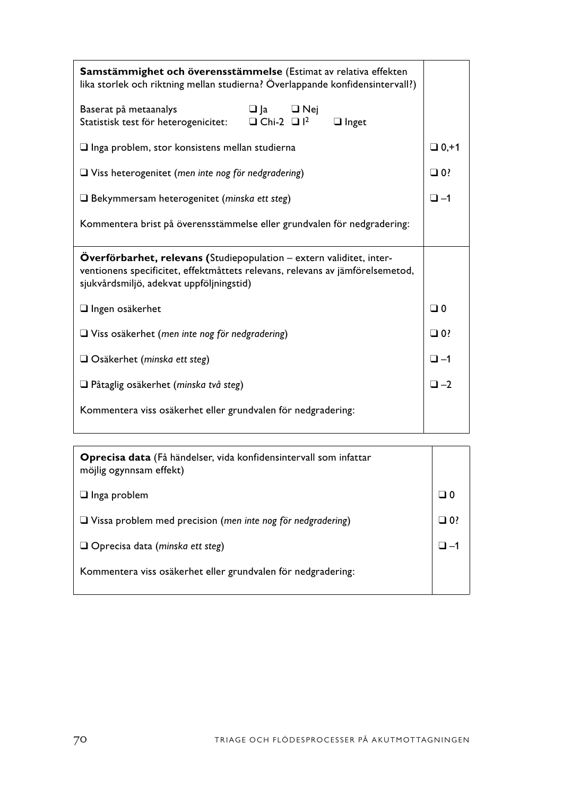| Samstämmighet och överensstämmelse (Estimat av relativa effekten<br>lika storlek och riktning mellan studierna? Överlappande konfidensintervall?)                                                 |           |  |
|---------------------------------------------------------------------------------------------------------------------------------------------------------------------------------------------------|-----------|--|
| Baserat på metaanalys<br>$\Box$ $\Box$ $\Box$ $\mathrm{Nej}$<br>$\Box$ Chi-2 $\Box$ $I^2$<br>Statistisk test för heterogenicitet:<br>$\Box$ Inget                                                 |           |  |
| $\Box$ lnga problem, stor konsistens mellan studierna                                                                                                                                             |           |  |
| $\Box$ Viss heterogenitet (men inte nog för nedgradering)                                                                                                                                         |           |  |
| $\Box$ Bekymmersam heterogenitet (minska ett steg)                                                                                                                                                |           |  |
| Kommentera brist på överensstämmelse eller grundvalen för nedgradering:                                                                                                                           |           |  |
|                                                                                                                                                                                                   |           |  |
| Overförbarhet, relevans (Studiepopulation - extern validitet, inter-<br>ventionens specificitet, effektmåttets relevans, relevans av jämförelsemetod,<br>sjukvårdsmiljö, adekvat uppföljningstid) |           |  |
| $\Box$ Ingen osäkerhet                                                                                                                                                                            | ⊡ 0       |  |
| $\Box$ Viss osäkerhet (men inte nog för nedgradering)                                                                                                                                             | $\Box$ 0? |  |
| $\Box$ Osäkerhet (minska ett steg)                                                                                                                                                                | $\Box$ -1 |  |
| Påtaglig osäkerhet (minska två steg)                                                                                                                                                              | $\Box -2$ |  |
| Kommentera viss osäkerhet eller grundvalen för nedgradering:                                                                                                                                      |           |  |

| <b>Oprecisa data</b> (Få händelser, vida konfidensintervall som infattar<br>möjlig ogynnsam effekt) |      |
|-----------------------------------------------------------------------------------------------------|------|
| $\Box$ Inga problem                                                                                 |      |
| $\Box$ Vissa problem med precision (men inte nog för nedgradering)                                  | ?0 ⊏ |
| $\Box$ Oprecisa data (minska ett steg)                                                              |      |
| Kommentera viss osäkerhet eller grundvalen för nedgradering:                                        |      |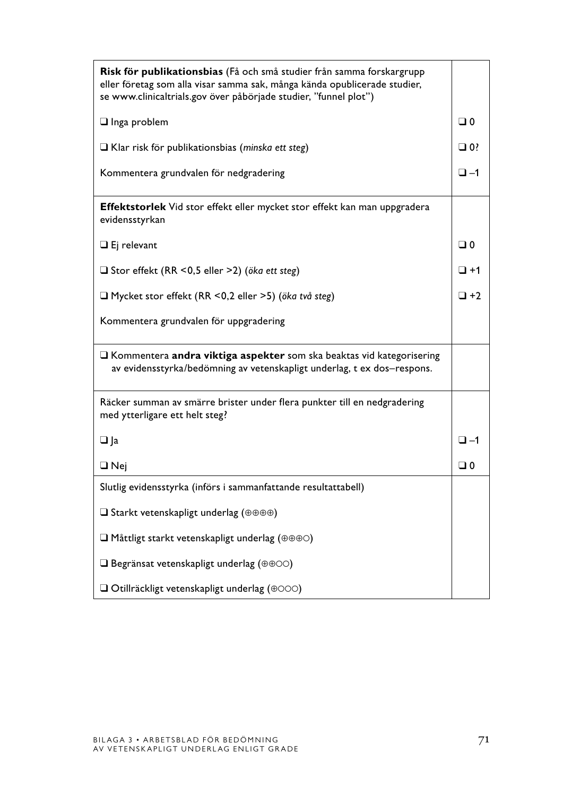| Risk för publikationsbias (Få och små studier från samma forskargrupp<br>eller företag som alla visar samma sak, många kända opublicerade studier,<br>se www.clinicaltrials.gov över påbörjade studier, "funnel plot") |              |
|------------------------------------------------------------------------------------------------------------------------------------------------------------------------------------------------------------------------|--------------|
| $\Box$ Inga problem                                                                                                                                                                                                    | $\Box$ 0     |
| Klar risk för publikationsbias (minska ett steg)                                                                                                                                                                       | $\square$ 0? |
| Kommentera grundvalen för nedgradering                                                                                                                                                                                 | $\Box$ -1    |
| Effektstorlek Vid stor effekt eller mycket stor effekt kan man uppgradera<br>evidensstyrkan                                                                                                                            |              |
| $\Box$ Ej relevant                                                                                                                                                                                                     | $\Box$ 0     |
| Stor effekt (RR < 0,5 eller > 2) (öka ett steg)                                                                                                                                                                        | $\square$ +1 |
| □ Mycket stor effekt (RR < 0,2 eller > 5) (öka två steg)                                                                                                                                                               | $\Box$ +2    |
| Kommentera grundvalen för uppgradering                                                                                                                                                                                 |              |
| Rommentera andra viktiga aspekter som ska beaktas vid kategorisering<br>av evidensstyrka/bedömning av vetenskapligt underlag, t ex dos-respons.                                                                        |              |
| Räcker summan av smärre brister under flera punkter till en nedgradering<br>med ytterligare ett helt steg?                                                                                                             |              |
| $\Box$ Ja                                                                                                                                                                                                              | $\square$ -1 |
| $\Box$ Nej                                                                                                                                                                                                             | $\Box$ 0     |
| Slutlig evidensstyrka (införs i sammanfattande resultattabell)                                                                                                                                                         |              |
| $\square$ Starkt vetenskapligt underlag ( $\oplus \oplus \oplus \oplus$ )                                                                                                                                              |              |
| $\Box$ Måttligt starkt vetenskapligt underlag ( $\oplus \oplus \oplus \odot$ )                                                                                                                                         |              |
| $\Box$ Begränsat vetenskapligt underlag ( $\oplus \oplus \odot \odot$ )                                                                                                                                                |              |
| $\Box$ Otillräckligt vetenskapligt underlag ( $\oplus$ 000)                                                                                                                                                            |              |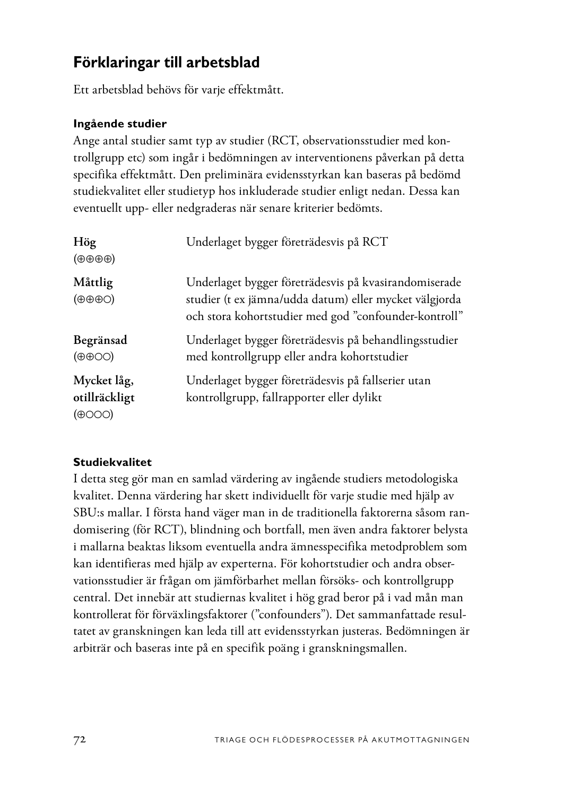# **Förklaringar till arbetsblad**

Ett arbetsblad behövs för varje effektmått.

# **Ingående studier**

Ange antal studier samt typ av studier (RCT, observationsstudier med kontrollgrupp etc) som ingår i bedömningen av interventionens påverkan på detta specifika effektmått. Den preliminära evidensstyrkan kan baseras på bedömd studiekvalitet eller studietyp hos inkluderade studier enligt nedan. Dessa kan eventuellt upp- eller nedgraderas när senare kriterier bedömts.

| Hög<br>$(\oplus \oplus \oplus \oplus)$     | Underlaget bygger företrädesvis på RCT                                                                                                                                   |
|--------------------------------------------|--------------------------------------------------------------------------------------------------------------------------------------------------------------------------|
| Måttlig<br>$(\oplus \oplus \oplus \odot)$  | Underlaget bygger företrädesvis på kvasirandomiserade<br>studier (t ex jämna/udda datum) eller mycket välgjorda<br>och stora kohortstudier med god "confounder-kontroll" |
| Begränsad<br>$(\oplus \oplus \odot \odot)$ | Underlaget bygger företrädesvis på behandlingsstudier<br>med kontrollgrupp eller andra kohortstudier                                                                     |
| Mycket låg,<br>otillräckligt<br>(⊕(        | Underlaget bygger företrädesvis på fallserier utan<br>kontrollgrupp, fallrapporter eller dylikt                                                                          |

# **Studiekvalitet**

I detta steg gör man en samlad värdering av ingående studiers metodologiska kvalitet. Denna värdering har skett individuellt för varje studie med hjälp av SBU:s mallar. I första hand väger man in de traditionella faktorerna såsom randomisering (för RCT), blindning och bortfall, men även andra faktorer belysta i mallarna beaktas liksom eventuella andra ämnesspecifika metodproblem som kan identifieras med hjälp av experterna. För kohortstudier och andra observationsstudier är frågan om jämförbarhet mellan försöks- och kontrollgrupp central. Det innebär att studiernas kvalitet i hög grad beror på i vad mån man kontrollerat för förväxlingsfaktorer ("confounders"). Det sammanfattade resultatet av granskningen kan leda till att evidensstyrkan justeras. Bedömningen är arbiträr och baseras inte på en specifik poäng i granskningsmallen.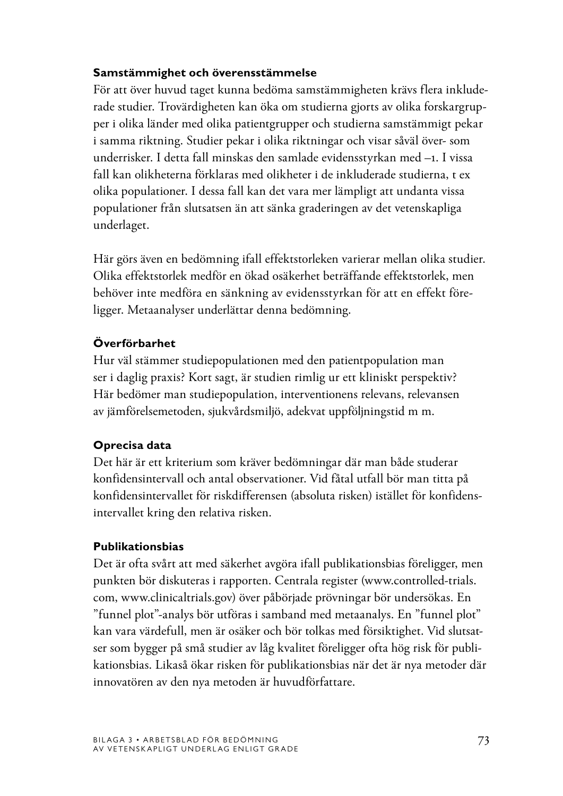#### **Samstämmighet och överensstämmelse**

För att över huvud taget kunna bedöma samstämmigheten krävs flera inkluderade studier. Trovärdigheten kan öka om studierna gjorts av olika forskargrupper i olika länder med olika patientgrupper och studierna samstämmigt pekar i samma riktning. Studier pekar i olika riktningar och visar såväl över- som underrisker. I detta fall minskas den samlade evidensstyrkan med –1. I vissa fall kan olikheterna förklaras med olikheter i de inkluderade studierna, t ex olika populationer. I dessa fall kan det vara mer lämpligt att undanta vissa populationer från slutsatsen än att sänka graderingen av det vetenskapliga underlaget.

Här görs även en bedömning ifall effektstorleken varierar mellan olika studier. Olika effektstorlek medför en ökad osäkerhet beträffande effektstorlek, men behöver inte medföra en sänkning av evidensstyrkan för att en effekt föreligger. Metaanalyser underlättar denna bedömning.

# **Överförbarhet**

Hur väl stämmer studiepopulationen med den patientpopulation man ser i daglig praxis? Kort sagt, är studien rimlig ur ett kliniskt perspektiv? Här bedömer man studiepopulation, interventionens relevans, relevansen av jämförelsemetoden, sjukvårdsmiljö, adekvat uppföljningstid m m.

## **Oprecisa data**

Det här är ett kriterium som kräver bedömningar där man både studerar konfidensintervall och antal observationer. Vid fåtal utfall bör man titta på konfidensintervallet för riskdifferensen (absoluta risken) istället för konfidensintervallet kring den relativa risken.

## **Publikationsbias**

Det är ofta svårt att med säkerhet avgöra ifall publikationsbias föreligger, men punkten bör diskuteras i rapporten. Centrala register (www.controlled-trials. com, www.clinicaltrials.gov) över påbörjade prövningar bör undersökas. En "funnel plot"-analys bör utföras i samband med metaanalys. En "funnel plot" kan vara värdefull, men är osäker och bör tolkas med försiktighet. Vid slutsatser som bygger på små studier av låg kvalitet föreligger ofta hög risk för publikationsbias. Likaså ökar risken för publikationsbias när det är nya metoder där innovatören av den nya metoden är huvudförfattare.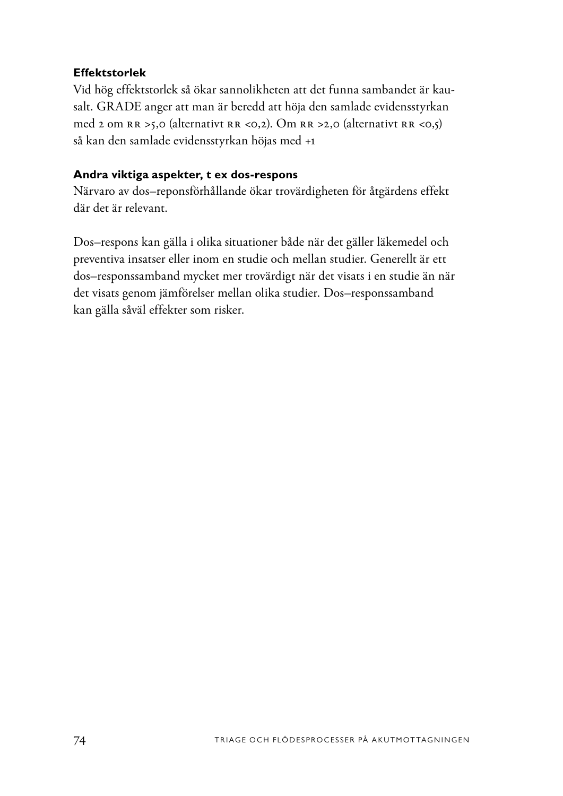#### **Effektstorlek**

Vid hög effektstorlek så ökar sannolikheten att det funna sambandet är kausalt. GRADE anger att man är beredd att höja den samlade evidensstyrkan med 2 om RR >5,0 (alternativt RR <0,2). Om RR >2,0 (alternativt RR <0,5) så kan den samlade evidensstyrkan höjas med +1

#### **Andra viktiga aspekter, t ex dos-respons**

Närvaro av dos–reponsförhållande ökar trovärdigheten för åtgärdens effekt där det är relevant.

Dos–respons kan gälla i olika situationer både när det gäller läkemedel och preventiva insatser eller inom en studie och mellan studier. Generellt är ett dos–responssamband mycket mer trovärdigt när det visats i en studie än när det visats genom jämförelser mellan olika studier. Dos–responssamband kan gälla såväl effekter som risker.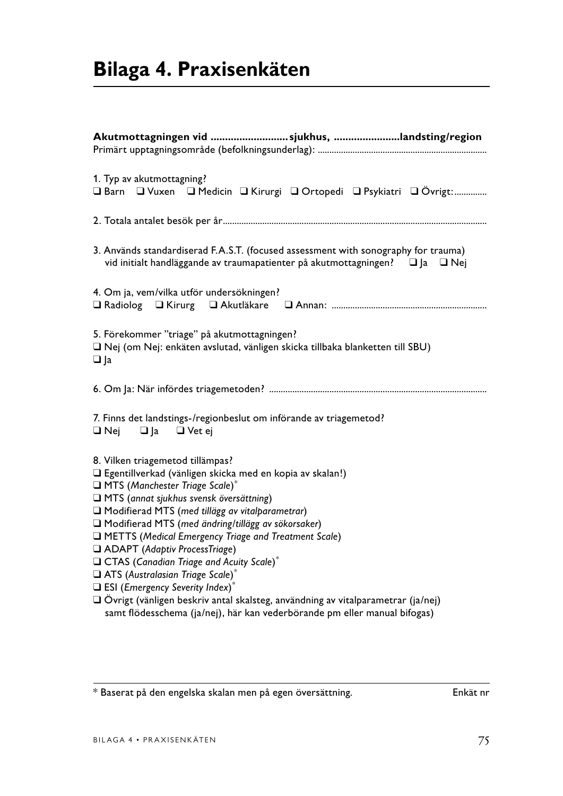| Akutmottagningen vid sjukhus, landsting/region                                                                                                                                                                                                                                                                                                                                                                                                                                                                                                                                                                                                                                     |
|------------------------------------------------------------------------------------------------------------------------------------------------------------------------------------------------------------------------------------------------------------------------------------------------------------------------------------------------------------------------------------------------------------------------------------------------------------------------------------------------------------------------------------------------------------------------------------------------------------------------------------------------------------------------------------|
| 1. Typ av akutmottagning?<br>□ Barn □ Vuxen □ Medicin □ Kirurgi □ Ortopedi □ Psykiatri □ Övrigt:                                                                                                                                                                                                                                                                                                                                                                                                                                                                                                                                                                                   |
|                                                                                                                                                                                                                                                                                                                                                                                                                                                                                                                                                                                                                                                                                    |
| 3. Används standardiserad F.A.S.T. (focused assessment with sonography for trauma)<br>vid initialt handläggande av traumapatienter på akutmottagningen? $\Box$ Ja $\Box$ Nej                                                                                                                                                                                                                                                                                                                                                                                                                                                                                                       |
| 4. Om ja, vem/vilka utför undersökningen?                                                                                                                                                                                                                                                                                                                                                                                                                                                                                                                                                                                                                                          |
| 5. Förekommer "triage" på akutmottagningen?<br>Nej (om Nej: enkäten avslutad, vänligen skicka tillbaka blanketten till SBU)<br>$\Box$  a                                                                                                                                                                                                                                                                                                                                                                                                                                                                                                                                           |
|                                                                                                                                                                                                                                                                                                                                                                                                                                                                                                                                                                                                                                                                                    |
| 7. Finns det landstings-/regionbeslut om införande av triagemetod?<br>$\Box$ Nej $\Box$ Ja $\Box$ Vet ej                                                                                                                                                                                                                                                                                                                                                                                                                                                                                                                                                                           |
| 8. Vilken triagemetod tillämpas?<br>□ Egentillverkad (vänligen skicka med en kopia av skalan!)<br>$\Box$ MTS (Manchester Triage Scale)*<br>□ MTS (annat sjukhus svensk översättning)<br>Modifierad MTS (med tillägg av vitalparametrar)<br>Modifierad MTS (med ändring/tillägg av sökorsaker)<br>METTS (Medical Emergency Triage and Treatment Scale)<br>ADAPT (Adaptiv ProcessTriage)<br>CTAS (Canadian Triage and Acuity Scale)*<br>ATS (Australasian Triage Scale)*<br>$\Box$ ESI (Emergency Severity Index)*<br>O Övrigt (vänligen beskriv antal skalsteg, användning av vitalparametrar (ja/nej)<br>samt flödesschema (ja/nej), här kan vederbörande pm eller manual bifogas) |

 $\overline{\text{#}$ Baserat på den engelska skalan men på egen översättning.  $\overline{\text{#}$ Enkät nr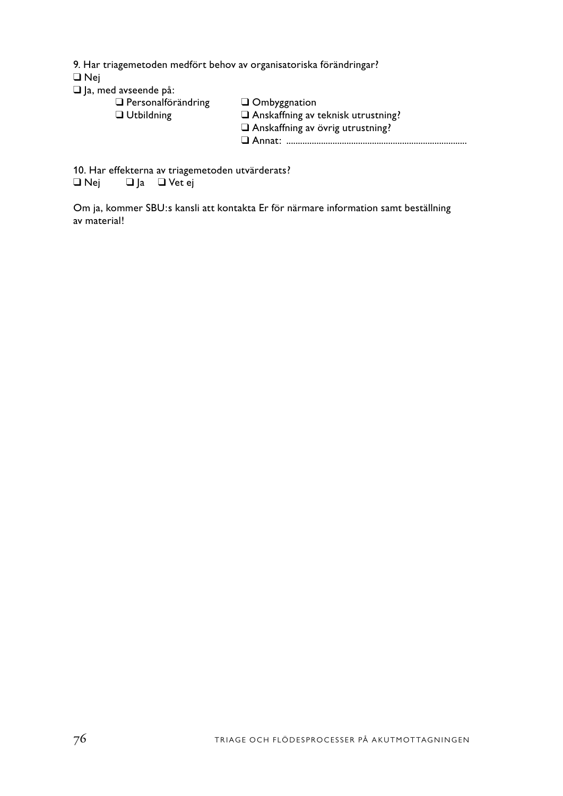9. Har triagemetoden medfört behov av organisatoriska förändringar?

❑ Nej

|  |  |  | $\Box$ Ja, med avseende på: |  |
|--|--|--|-----------------------------|--|
|--|--|--|-----------------------------|--|

| $\Box$ Personalförändring<br>$\Box$ Utbildning | $\Box$ Ombyggnation<br>$\Box$ Anskaffning av teknisk utrustning?<br>$\Box$ Anskaffning av övrig utrustning? |
|------------------------------------------------|-------------------------------------------------------------------------------------------------------------|
|                                                |                                                                                                             |
|                                                |                                                                                                             |

10. Har effekterna av triagemetoden utvärderats?<br> $\Box$  Nej  $\Box$  Ja  $\Box$  Vet ej

□ Ja □ Vet ej

Om ja, kommer SBU:s kansli att kontakta Er för närmare information samt beställning av material!